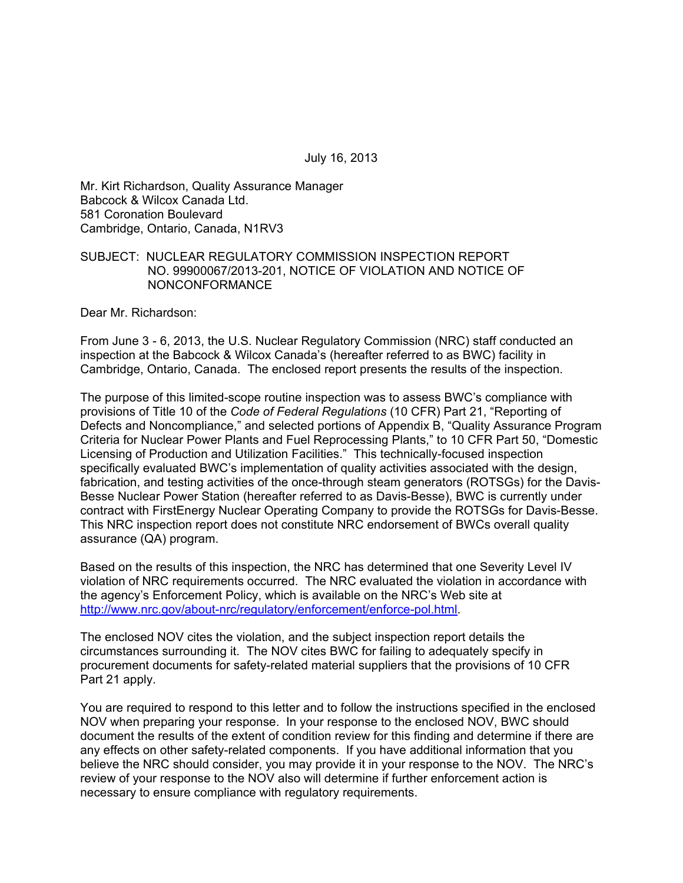July 16, 2013

Mr. Kirt Richardson, Quality Assurance Manager Babcock & Wilcox Canada Ltd. 581 Coronation Boulevard Cambridge, Ontario, Canada, N1RV3

#### SUBJECT: NUCLEAR REGULATORY COMMISSION INSPECTION REPORT NO. 99900067/2013-201, NOTICE OF VIOLATION AND NOTICE OF NONCONFORMANCE

Dear Mr. Richardson:

From June 3 - 6, 2013, the U.S. Nuclear Regulatory Commission (NRC) staff conducted an inspection at the Babcock & Wilcox Canada's (hereafter referred to as BWC) facility in Cambridge, Ontario, Canada. The enclosed report presents the results of the inspection.

The purpose of this limited-scope routine inspection was to assess BWC's compliance with provisions of Title 10 of the *Code of Federal Regulations* (10 CFR) Part 21, "Reporting of Defects and Noncompliance," and selected portions of Appendix B, "Quality Assurance Program Criteria for Nuclear Power Plants and Fuel Reprocessing Plants," to 10 CFR Part 50, "Domestic Licensing of Production and Utilization Facilities." This technically-focused inspection specifically evaluated BWC's implementation of quality activities associated with the design, fabrication, and testing activities of the once-through steam generators (ROTSGs) for the Davis-Besse Nuclear Power Station (hereafter referred to as Davis-Besse), BWC is currently under contract with FirstEnergy Nuclear Operating Company to provide the ROTSGs for Davis-Besse. This NRC inspection report does not constitute NRC endorsement of BWCs overall quality assurance (QA) program.

Based on the results of this inspection, the NRC has determined that one Severity Level IV violation of NRC requirements occurred. The NRC evaluated the violation in accordance with the agency's Enforcement Policy, which is available on the NRC's Web site at http://www.nrc.gov/about-nrc/regulatory/enforcement/enforce-pol.html.

The enclosed NOV cites the violation, and the subject inspection report details the circumstances surrounding it. The NOV cites BWC for failing to adequately specify in procurement documents for safety-related material suppliers that the provisions of 10 CFR Part 21 apply.

You are required to respond to this letter and to follow the instructions specified in the enclosed NOV when preparing your response. In your response to the enclosed NOV, BWC should document the results of the extent of condition review for this finding and determine if there are any effects on other safety-related components. If you have additional information that you believe the NRC should consider, you may provide it in your response to the NOV. The NRC's review of your response to the NOV also will determine if further enforcement action is necessary to ensure compliance with regulatory requirements.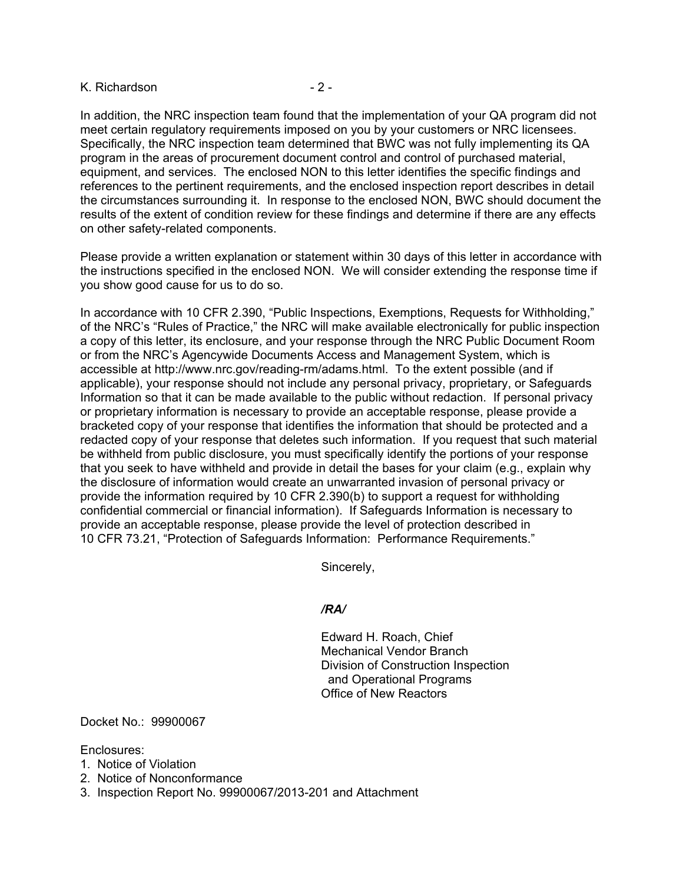#### K. Richardson **- 2 -**

In addition, the NRC inspection team found that the implementation of your QA program did not meet certain regulatory requirements imposed on you by your customers or NRC licensees. Specifically, the NRC inspection team determined that BWC was not fully implementing its QA program in the areas of procurement document control and control of purchased material, equipment, and services. The enclosed NON to this letter identifies the specific findings and references to the pertinent requirements, and the enclosed inspection report describes in detail the circumstances surrounding it. In response to the enclosed NON, BWC should document the results of the extent of condition review for these findings and determine if there are any effects on other safety-related components.

Please provide a written explanation or statement within 30 days of this letter in accordance with the instructions specified in the enclosed NON. We will consider extending the response time if you show good cause for us to do so.

In accordance with 10 CFR 2.390, "Public Inspections, Exemptions, Requests for Withholding," of the NRC's "Rules of Practice," the NRC will make available electronically for public inspection a copy of this letter, its enclosure, and your response through the NRC Public Document Room or from the NRC's Agencywide Documents Access and Management System, which is accessible at http://www.nrc.gov/reading-rm/adams.html. To the extent possible (and if applicable), your response should not include any personal privacy, proprietary, or Safeguards Information so that it can be made available to the public without redaction. If personal privacy or proprietary information is necessary to provide an acceptable response, please provide a bracketed copy of your response that identifies the information that should be protected and a redacted copy of your response that deletes such information. If you request that such material be withheld from public disclosure, you must specifically identify the portions of your response that you seek to have withheld and provide in detail the bases for your claim (e.g., explain why the disclosure of information would create an unwarranted invasion of personal privacy or provide the information required by 10 CFR 2.390(b) to support a request for withholding confidential commercial or financial information). If Safeguards Information is necessary to provide an acceptable response, please provide the level of protection described in 10 CFR 73.21, "Protection of Safeguards Information: Performance Requirements."

Sincerely,

#### */RA/*

Edward H. Roach, Chief Mechanical Vendor Branch Division of Construction Inspection and Operational Programs Office of New Reactors

Docket No.: 99900067

Enclosures:

- 1. Notice of Violation
- 2. Notice of Nonconformance
- 3. Inspection Report No. 99900067/2013-201 and Attachment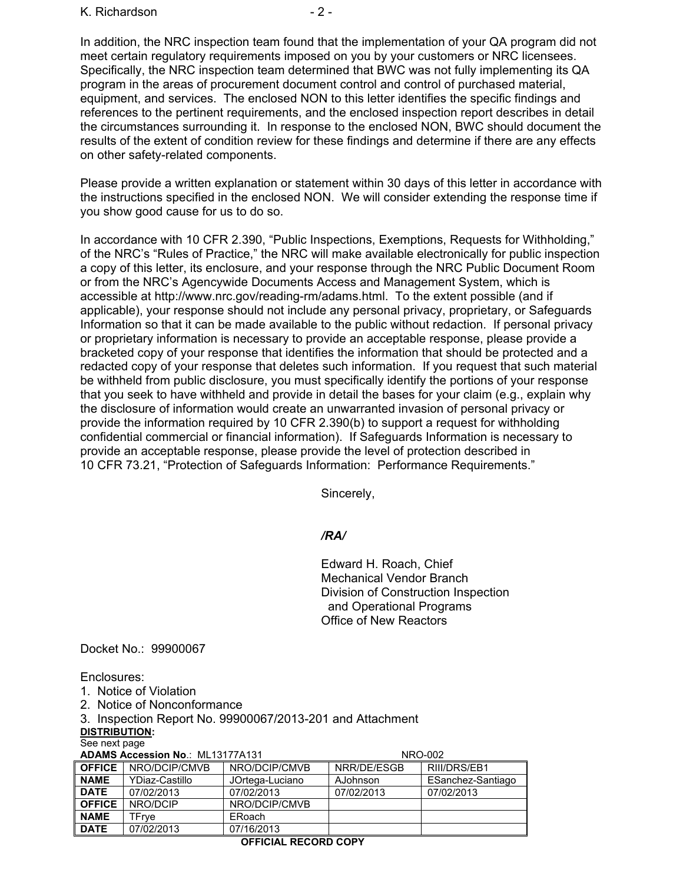#### K. Richardson **- 2 -**

In addition, the NRC inspection team found that the implementation of your QA program did not meet certain regulatory requirements imposed on you by your customers or NRC licensees. Specifically, the NRC inspection team determined that BWC was not fully implementing its QA program in the areas of procurement document control and control of purchased material, equipment, and services. The enclosed NON to this letter identifies the specific findings and references to the pertinent requirements, and the enclosed inspection report describes in detail the circumstances surrounding it. In response to the enclosed NON, BWC should document the results of the extent of condition review for these findings and determine if there are any effects on other safety-related components.

Please provide a written explanation or statement within 30 days of this letter in accordance with the instructions specified in the enclosed NON. We will consider extending the response time if you show good cause for us to do so.

In accordance with 10 CFR 2.390, "Public Inspections, Exemptions, Requests for Withholding," of the NRC's "Rules of Practice," the NRC will make available electronically for public inspection a copy of this letter, its enclosure, and your response through the NRC Public Document Room or from the NRC's Agencywide Documents Access and Management System, which is accessible at http://www.nrc.gov/reading-rm/adams.html. To the extent possible (and if applicable), your response should not include any personal privacy, proprietary, or Safeguards Information so that it can be made available to the public without redaction. If personal privacy or proprietary information is necessary to provide an acceptable response, please provide a bracketed copy of your response that identifies the information that should be protected and a redacted copy of your response that deletes such information. If you request that such material be withheld from public disclosure, you must specifically identify the portions of your response that you seek to have withheld and provide in detail the bases for your claim (e.g., explain why the disclosure of information would create an unwarranted invasion of personal privacy or provide the information required by 10 CFR 2.390(b) to support a request for withholding confidential commercial or financial information). If Safeguards Information is necessary to provide an acceptable response, please provide the level of protection described in 10 CFR 73.21, "Protection of Safeguards Information: Performance Requirements."

Sincerely,

## */RA/*

Edward H. Roach, Chief Mechanical Vendor Branch Division of Construction Inspection and Operational Programs Office of New Reactors

Docket No.: 99900067

Enclosures:

- 1. Notice of Violation
- 2. Notice of Nonconformance

3. Inspection Report No. 99900067/2013-201 and Attachment **DISTRIBUTION:** 

See next page

**ADAMS Accession No.: ML13177A131 NRO-002** 

| <b>OFFICE</b> | NRO/DCIP/CMVB  | NRO/DCIP/CMVB   | NRR/DE/ESGB | RIII/DRS/EB1      |  |
|---------------|----------------|-----------------|-------------|-------------------|--|
| <b>NAME</b>   | YDiaz-Castillo | JOrtega-Luciano | AJohnson    | ESanchez-Santiago |  |
| <b>DATE</b>   | 07/02/2013     | 07/02/2013      | 07/02/2013  | 07/02/2013        |  |
| <b>OFFICE</b> | NRO/DCIP       | NRO/DCIP/CMVB   |             |                   |  |
| <b>NAME</b>   | TFrve          | ERoach          |             |                   |  |
| <b>DATE</b>   | 07/02/2013     | 07/16/2013      |             |                   |  |
|               |                |                 |             |                   |  |

## **OFFICIAL RECORD COPY**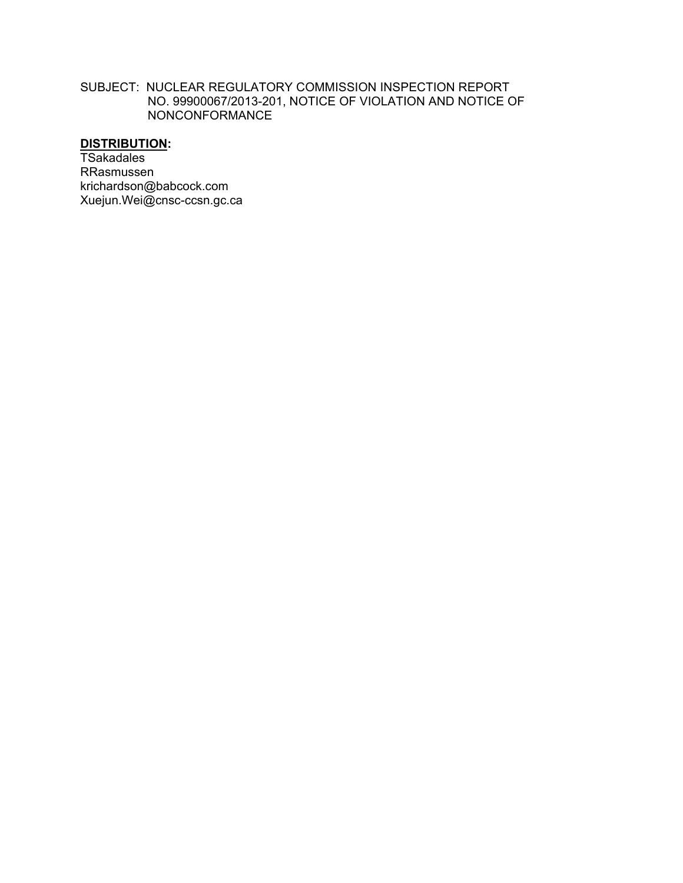#### SUBJECT: NUCLEAR REGULATORY COMMISSION INSPECTION REPORT NO. 99900067/2013-201, NOTICE OF VIOLATION AND NOTICE OF NONCONFORMANCE

# **DISTRIBUTION:**

**TSakadales** RRasmussen krichardson@babcock.com Xuejun.Wei@cnsc-ccsn.gc.ca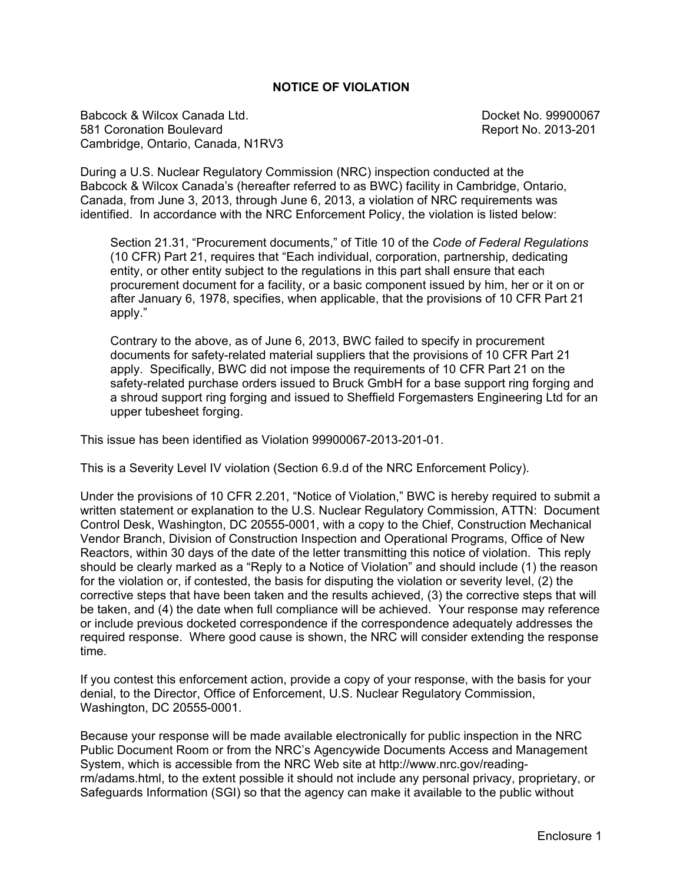#### **NOTICE OF VIOLATION**

Babcock & Wilcox Canada Ltd. Docket No. 99900067 581 Coronation Boulevard Report No. 2013-201 Cambridge, Ontario, Canada, N1RV3

During a U.S. Nuclear Regulatory Commission (NRC) inspection conducted at the Babcock & Wilcox Canada's (hereafter referred to as BWC) facility in Cambridge, Ontario, Canada, from June 3, 2013, through June 6, 2013, a violation of NRC requirements was identified. In accordance with the NRC Enforcement Policy, the violation is listed below:

Section 21.31, "Procurement documents," of Title 10 of the *Code of Federal Regulations*  (10 CFR) Part 21, requires that "Each individual, corporation, partnership, dedicating entity, or other entity subject to the regulations in this part shall ensure that each procurement document for a facility, or a basic component issued by him, her or it on or after January 6, 1978, specifies, when applicable, that the provisions of 10 CFR Part 21 apply."

Contrary to the above, as of June 6, 2013, BWC failed to specify in procurement documents for safety-related material suppliers that the provisions of 10 CFR Part 21 apply. Specifically, BWC did not impose the requirements of 10 CFR Part 21 on the safety-related purchase orders issued to Bruck GmbH for a base support ring forging and a shroud support ring forging and issued to Sheffield Forgemasters Engineering Ltd for an upper tubesheet forging.

This issue has been identified as Violation 99900067-2013-201-01.

This is a Severity Level IV violation (Section 6.9.d of the NRC Enforcement Policy).

Under the provisions of 10 CFR 2.201, "Notice of Violation," BWC is hereby required to submit a written statement or explanation to the U.S. Nuclear Regulatory Commission, ATTN: Document Control Desk, Washington, DC 20555-0001, with a copy to the Chief, Construction Mechanical Vendor Branch, Division of Construction Inspection and Operational Programs, Office of New Reactors, within 30 days of the date of the letter transmitting this notice of violation. This reply should be clearly marked as a "Reply to a Notice of Violation" and should include (1) the reason for the violation or, if contested, the basis for disputing the violation or severity level, (2) the corrective steps that have been taken and the results achieved, (3) the corrective steps that will be taken, and (4) the date when full compliance will be achieved. Your response may reference or include previous docketed correspondence if the correspondence adequately addresses the required response. Where good cause is shown, the NRC will consider extending the response time.

If you contest this enforcement action, provide a copy of your response, with the basis for your denial, to the Director, Office of Enforcement, U.S. Nuclear Regulatory Commission, Washington, DC 20555-0001.

Because your response will be made available electronically for public inspection in the NRC Public Document Room or from the NRC's Agencywide Documents Access and Management System, which is accessible from the NRC Web site at http://www.nrc.gov/readingrm/adams.html, to the extent possible it should not include any personal privacy, proprietary, or Safeguards Information (SGI) so that the agency can make it available to the public without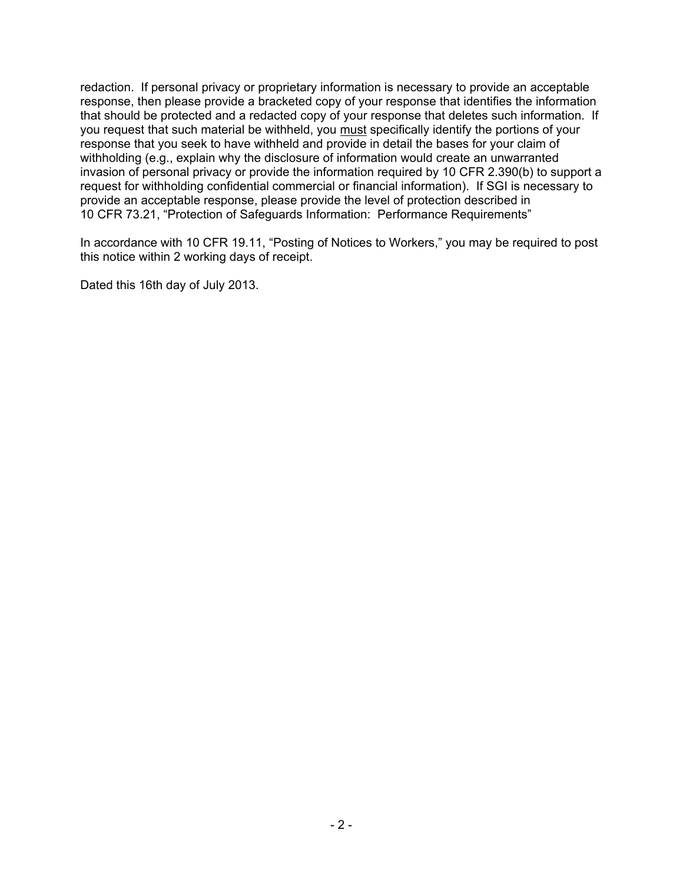redaction. If personal privacy or proprietary information is necessary to provide an acceptable response, then please provide a bracketed copy of your response that identifies the information that should be protected and a redacted copy of your response that deletes such information. If you request that such material be withheld, you must specifically identify the portions of your response that you seek to have withheld and provide in detail the bases for your claim of withholding (e.g., explain why the disclosure of information would create an unwarranted invasion of personal privacy or provide the information required by 10 CFR 2.390(b) to support a request for withholding confidential commercial or financial information). If SGI is necessary to provide an acceptable response, please provide the level of protection described in 10 CFR 73.21, "Protection of Safeguards Information: Performance Requirements"

In accordance with 10 CFR 19.11, "Posting of Notices to Workers," you may be required to post this notice within 2 working days of receipt.

Dated this 16th day of July 2013.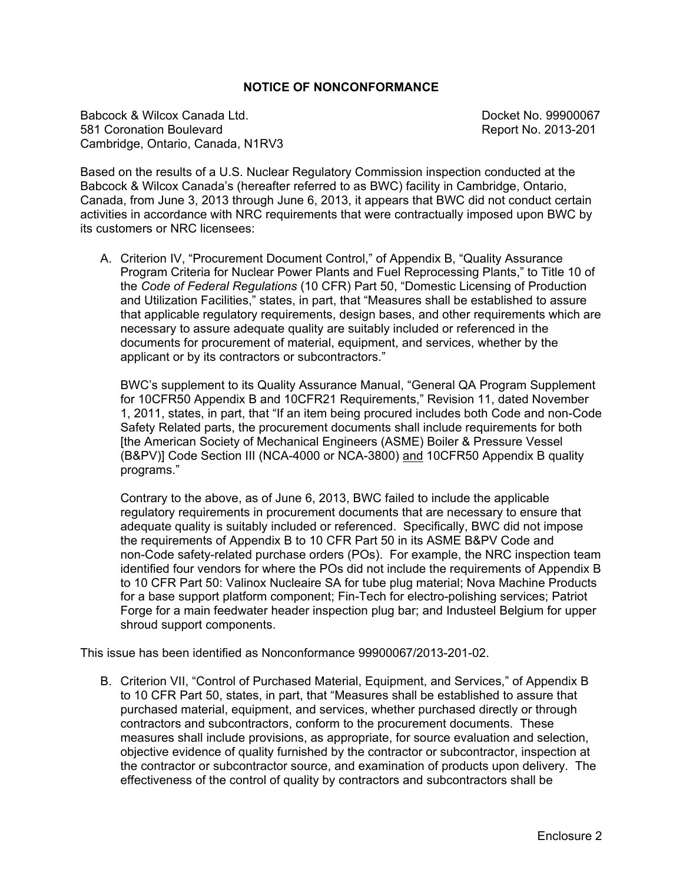#### **NOTICE OF NONCONFORMANCE**

Babcock & Wilcox Canada Ltd. Docket No. 99900067 581 Coronation Boulevard Report No. 2013-201 Cambridge, Ontario, Canada, N1RV3

Based on the results of a U.S. Nuclear Regulatory Commission inspection conducted at the Babcock & Wilcox Canada's (hereafter referred to as BWC) facility in Cambridge, Ontario, Canada, from June 3, 2013 through June 6, 2013, it appears that BWC did not conduct certain activities in accordance with NRC requirements that were contractually imposed upon BWC by its customers or NRC licensees:

A. Criterion IV, "Procurement Document Control," of Appendix B, "Quality Assurance Program Criteria for Nuclear Power Plants and Fuel Reprocessing Plants," to Title 10 of the *Code of Federal Regulations* (10 CFR) Part 50, "Domestic Licensing of Production and Utilization Facilities," states, in part, that "Measures shall be established to assure that applicable regulatory requirements, design bases, and other requirements which are necessary to assure adequate quality are suitably included or referenced in the documents for procurement of material, equipment, and services, whether by the applicant or by its contractors or subcontractors."

BWC's supplement to its Quality Assurance Manual, "General QA Program Supplement for 10CFR50 Appendix B and 10CFR21 Requirements," Revision 11, dated November 1, 2011, states, in part, that "If an item being procured includes both Code and non-Code Safety Related parts, the procurement documents shall include requirements for both [the American Society of Mechanical Engineers (ASME) Boiler & Pressure Vessel (B&PV)] Code Section III (NCA-4000 or NCA-3800) and 10CFR50 Appendix B quality programs."

Contrary to the above, as of June 6, 2013, BWC failed to include the applicable regulatory requirements in procurement documents that are necessary to ensure that adequate quality is suitably included or referenced. Specifically, BWC did not impose the requirements of Appendix B to 10 CFR Part 50 in its ASME B&PV Code and non-Code safety-related purchase orders (POs). For example, the NRC inspection team identified four vendors for where the POs did not include the requirements of Appendix B to 10 CFR Part 50: Valinox Nucleaire SA for tube plug material; Nova Machine Products for a base support platform component; Fin-Tech for electro-polishing services; Patriot Forge for a main feedwater header inspection plug bar; and Industeel Belgium for upper shroud support components.

This issue has been identified as Nonconformance 99900067/2013-201-02.

B. Criterion VII, "Control of Purchased Material, Equipment, and Services," of Appendix B to 10 CFR Part 50, states, in part, that "Measures shall be established to assure that purchased material, equipment, and services, whether purchased directly or through contractors and subcontractors, conform to the procurement documents. These measures shall include provisions, as appropriate, for source evaluation and selection, objective evidence of quality furnished by the contractor or subcontractor, inspection at the contractor or subcontractor source, and examination of products upon delivery. The effectiveness of the control of quality by contractors and subcontractors shall be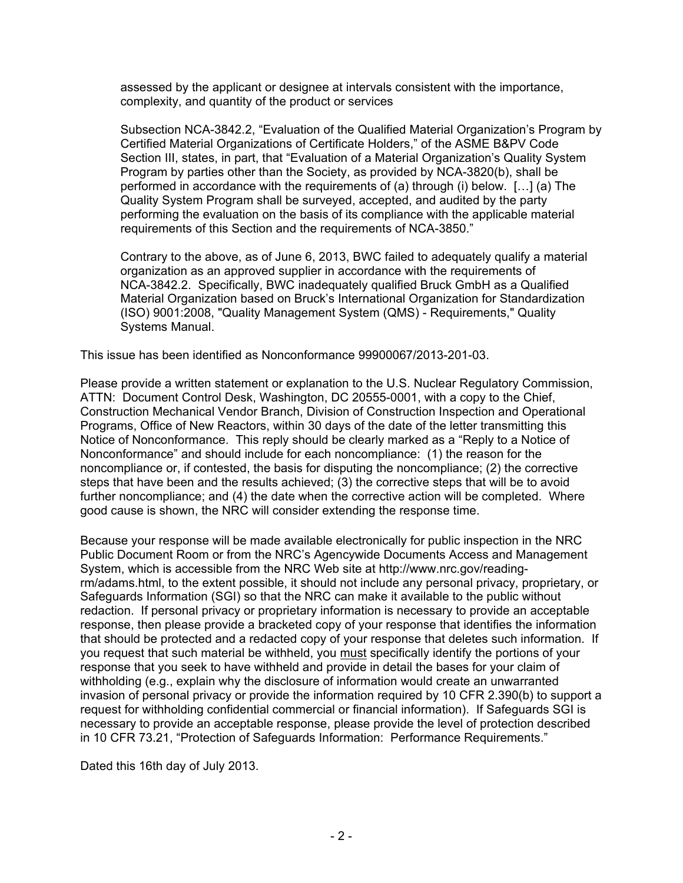assessed by the applicant or designee at intervals consistent with the importance, complexity, and quantity of the product or services

Subsection NCA-3842.2, "Evaluation of the Qualified Material Organization's Program by Certified Material Organizations of Certificate Holders," of the ASME B&PV Code Section III, states, in part, that "Evaluation of a Material Organization's Quality System Program by parties other than the Society, as provided by NCA-3820(b), shall be performed in accordance with the requirements of (a) through (i) below. […] (a) The Quality System Program shall be surveyed, accepted, and audited by the party performing the evaluation on the basis of its compliance with the applicable material requirements of this Section and the requirements of NCA-3850."

Contrary to the above, as of June 6, 2013, BWC failed to adequately qualify a material organization as an approved supplier in accordance with the requirements of NCA-3842.2. Specifically, BWC inadequately qualified Bruck GmbH as a Qualified Material Organization based on Bruck's International Organization for Standardization (ISO) 9001:2008, "Quality Management System (QMS) - Requirements," Quality Systems Manual.

This issue has been identified as Nonconformance 99900067/2013-201-03.

Please provide a written statement or explanation to the U.S. Nuclear Regulatory Commission, ATTN: Document Control Desk, Washington, DC 20555-0001, with a copy to the Chief, Construction Mechanical Vendor Branch, Division of Construction Inspection and Operational Programs, Office of New Reactors, within 30 days of the date of the letter transmitting this Notice of Nonconformance. This reply should be clearly marked as a "Reply to a Notice of Nonconformance" and should include for each noncompliance: (1) the reason for the noncompliance or, if contested, the basis for disputing the noncompliance; (2) the corrective steps that have been and the results achieved; (3) the corrective steps that will be to avoid further noncompliance; and (4) the date when the corrective action will be completed. Where good cause is shown, the NRC will consider extending the response time.

Because your response will be made available electronically for public inspection in the NRC Public Document Room or from the NRC's Agencywide Documents Access and Management System, which is accessible from the NRC Web site at http://www.nrc.gov/readingrm/adams.html, to the extent possible, it should not include any personal privacy, proprietary, or Safeguards Information (SGI) so that the NRC can make it available to the public without redaction. If personal privacy or proprietary information is necessary to provide an acceptable response, then please provide a bracketed copy of your response that identifies the information that should be protected and a redacted copy of your response that deletes such information. If you request that such material be withheld, you must specifically identify the portions of your response that you seek to have withheld and provide in detail the bases for your claim of withholding (e.g., explain why the disclosure of information would create an unwarranted invasion of personal privacy or provide the information required by 10 CFR 2.390(b) to support a request for withholding confidential commercial or financial information). If Safeguards SGI is necessary to provide an acceptable response, please provide the level of protection described in 10 CFR 73.21, "Protection of Safeguards Information: Performance Requirements."

Dated this 16th day of July 2013.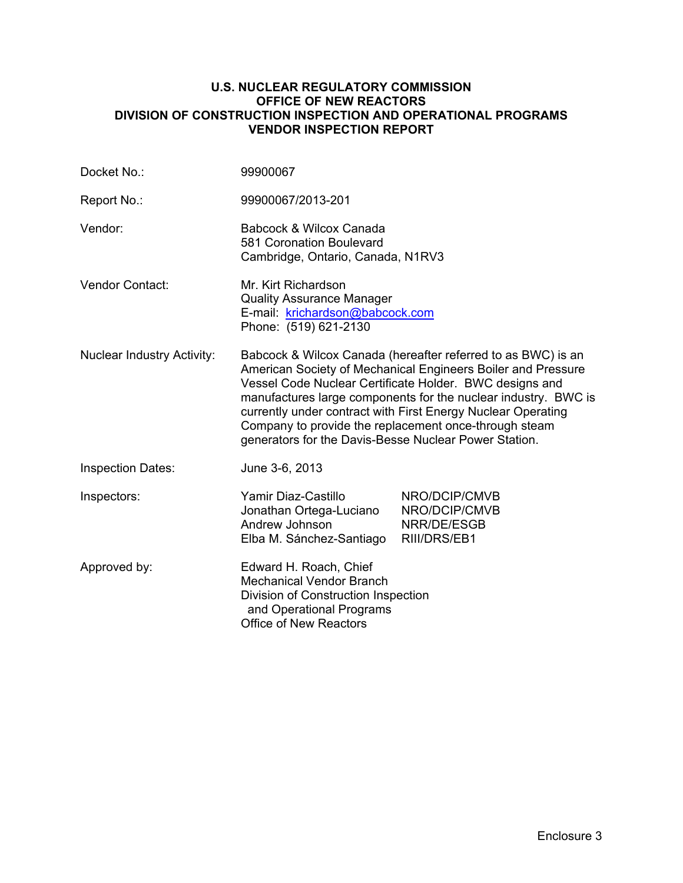#### **U.S. NUCLEAR REGULATORY COMMISSION OFFICE OF NEW REACTORS DIVISION OF CONSTRUCTION INSPECTION AND OPERATIONAL PROGRAMS VENDOR INSPECTION REPORT**

| Docket No.:                       | 99900067                                                                                                                                                                                                                                                                                                                                                                                                                                    |                                                               |  |
|-----------------------------------|---------------------------------------------------------------------------------------------------------------------------------------------------------------------------------------------------------------------------------------------------------------------------------------------------------------------------------------------------------------------------------------------------------------------------------------------|---------------------------------------------------------------|--|
| Report No.:                       | 99900067/2013-201                                                                                                                                                                                                                                                                                                                                                                                                                           |                                                               |  |
| Vendor:                           | Babcock & Wilcox Canada<br>581 Coronation Boulevard<br>Cambridge, Ontario, Canada, N1RV3                                                                                                                                                                                                                                                                                                                                                    |                                                               |  |
| Vendor Contact:                   | Mr. Kirt Richardson<br><b>Quality Assurance Manager</b><br>E-mail: krichardson@babcock.com<br>Phone: (519) 621-2130                                                                                                                                                                                                                                                                                                                         |                                                               |  |
| <b>Nuclear Industry Activity:</b> | Babcock & Wilcox Canada (hereafter referred to as BWC) is an<br>American Society of Mechanical Engineers Boiler and Pressure<br>Vessel Code Nuclear Certificate Holder. BWC designs and<br>manufactures large components for the nuclear industry. BWC is<br>currently under contract with First Energy Nuclear Operating<br>Company to provide the replacement once-through steam<br>generators for the Davis-Besse Nuclear Power Station. |                                                               |  |
| <b>Inspection Dates:</b>          | June 3-6, 2013                                                                                                                                                                                                                                                                                                                                                                                                                              |                                                               |  |
| Inspectors:                       | Yamir Diaz-Castillo<br>Jonathan Ortega-Luciano<br>Andrew Johnson<br>Elba M. Sánchez-Santiago                                                                                                                                                                                                                                                                                                                                                | NRO/DCIP/CMVB<br>NRO/DCIP/CMVB<br>NRR/DE/ESGB<br>RIII/DRS/EB1 |  |
| Approved by:                      | Edward H. Roach, Chief<br><b>Mechanical Vendor Branch</b><br>Division of Construction Inspection<br>and Operational Programs<br><b>Office of New Reactors</b>                                                                                                                                                                                                                                                                               |                                                               |  |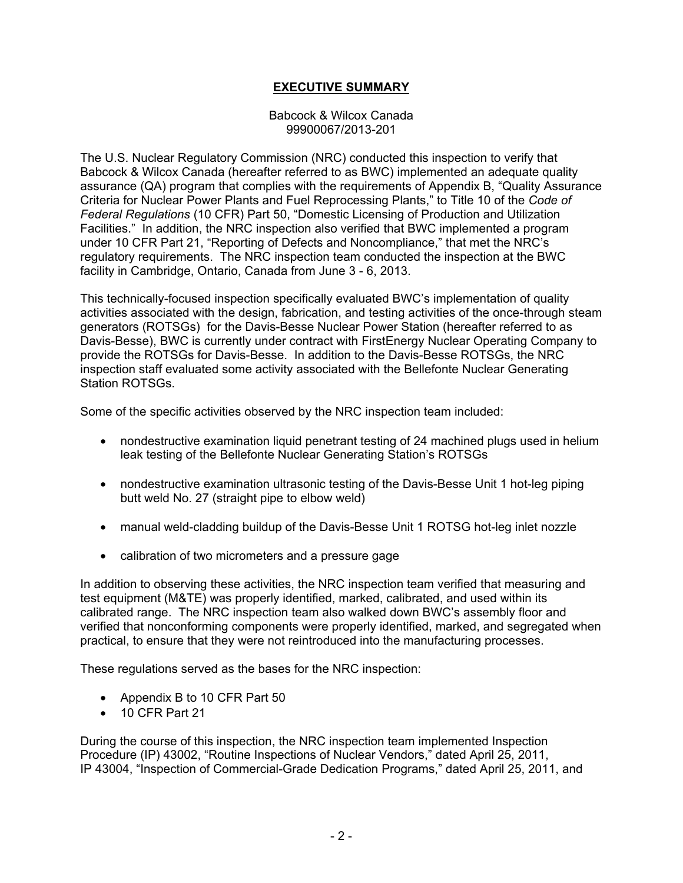## **EXECUTIVE SUMMARY**

Babcock & Wilcox Canada 99900067/2013-201

The U.S. Nuclear Regulatory Commission (NRC) conducted this inspection to verify that Babcock & Wilcox Canada (hereafter referred to as BWC) implemented an adequate quality assurance (QA) program that complies with the requirements of Appendix B, "Quality Assurance Criteria for Nuclear Power Plants and Fuel Reprocessing Plants," to Title 10 of the *Code of Federal Regulations* (10 CFR) Part 50, "Domestic Licensing of Production and Utilization Facilities." In addition, the NRC inspection also verified that BWC implemented a program under 10 CFR Part 21, "Reporting of Defects and Noncompliance," that met the NRC's regulatory requirements. The NRC inspection team conducted the inspection at the BWC facility in Cambridge, Ontario, Canada from June 3 - 6, 2013.

This technically-focused inspection specifically evaluated BWC's implementation of quality activities associated with the design, fabrication, and testing activities of the once-through steam generators (ROTSGs) for the Davis-Besse Nuclear Power Station (hereafter referred to as Davis-Besse), BWC is currently under contract with FirstEnergy Nuclear Operating Company to provide the ROTSGs for Davis-Besse. In addition to the Davis-Besse ROTSGs, the NRC inspection staff evaluated some activity associated with the Bellefonte Nuclear Generating Station ROTSGs.

Some of the specific activities observed by the NRC inspection team included:

- nondestructive examination liquid penetrant testing of 24 machined plugs used in helium leak testing of the Bellefonte Nuclear Generating Station's ROTSGs
- nondestructive examination ultrasonic testing of the Davis-Besse Unit 1 hot-leg piping butt weld No. 27 (straight pipe to elbow weld)
- manual weld-cladding buildup of the Davis-Besse Unit 1 ROTSG hot-leg inlet nozzle
- calibration of two micrometers and a pressure gage

In addition to observing these activities, the NRC inspection team verified that measuring and test equipment (M&TE) was properly identified, marked, calibrated, and used within its calibrated range. The NRC inspection team also walked down BWC's assembly floor and verified that nonconforming components were properly identified, marked, and segregated when practical, to ensure that they were not reintroduced into the manufacturing processes.

These regulations served as the bases for the NRC inspection:

- Appendix B to 10 CFR Part 50
- 10 CFR Part 21

During the course of this inspection, the NRC inspection team implemented Inspection Procedure (IP) 43002, "Routine Inspections of Nuclear Vendors," dated April 25, 2011, IP 43004, "Inspection of Commercial-Grade Dedication Programs," dated April 25, 2011, and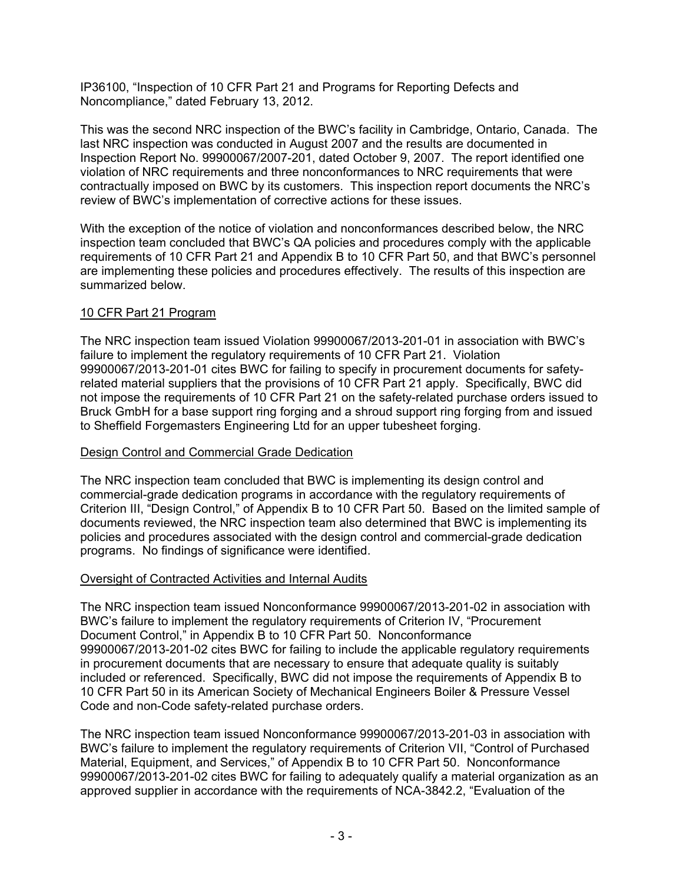IP36100, "Inspection of 10 CFR Part 21 and Programs for Reporting Defects and Noncompliance," dated February 13, 2012.

This was the second NRC inspection of the BWC's facility in Cambridge, Ontario, Canada. The last NRC inspection was conducted in August 2007 and the results are documented in Inspection Report No. 99900067/2007-201, dated October 9, 2007. The report identified one violation of NRC requirements and three nonconformances to NRC requirements that were contractually imposed on BWC by its customers. This inspection report documents the NRC's review of BWC's implementation of corrective actions for these issues.

With the exception of the notice of violation and nonconformances described below, the NRC inspection team concluded that BWC's QA policies and procedures comply with the applicable requirements of 10 CFR Part 21 and Appendix B to 10 CFR Part 50, and that BWC's personnel are implementing these policies and procedures effectively. The results of this inspection are summarized below.

## 10 CFR Part 21 Program

The NRC inspection team issued Violation 99900067/2013-201-01 in association with BWC's failure to implement the regulatory requirements of 10 CFR Part 21. Violation 99900067/2013-201-01 cites BWC for failing to specify in procurement documents for safetyrelated material suppliers that the provisions of 10 CFR Part 21 apply. Specifically, BWC did not impose the requirements of 10 CFR Part 21 on the safety-related purchase orders issued to Bruck GmbH for a base support ring forging and a shroud support ring forging from and issued to Sheffield Forgemasters Engineering Ltd for an upper tubesheet forging.

## Design Control and Commercial Grade Dedication

The NRC inspection team concluded that BWC is implementing its design control and commercial-grade dedication programs in accordance with the regulatory requirements of Criterion III, "Design Control," of Appendix B to 10 CFR Part 50. Based on the limited sample of documents reviewed, the NRC inspection team also determined that BWC is implementing its policies and procedures associated with the design control and commercial-grade dedication programs. No findings of significance were identified.

## Oversight of Contracted Activities and Internal Audits

The NRC inspection team issued Nonconformance 99900067/2013-201-02 in association with BWC's failure to implement the regulatory requirements of Criterion IV, "Procurement Document Control," in Appendix B to 10 CFR Part 50. Nonconformance 99900067/2013-201-02 cites BWC for failing to include the applicable regulatory requirements in procurement documents that are necessary to ensure that adequate quality is suitably included or referenced. Specifically, BWC did not impose the requirements of Appendix B to 10 CFR Part 50 in its American Society of Mechanical Engineers Boiler & Pressure Vessel Code and non-Code safety-related purchase orders.

The NRC inspection team issued Nonconformance 99900067/2013-201-03 in association with BWC's failure to implement the regulatory requirements of Criterion VII, "Control of Purchased Material, Equipment, and Services," of Appendix B to 10 CFR Part 50. Nonconformance 99900067/2013-201-02 cites BWC for failing to adequately qualify a material organization as an approved supplier in accordance with the requirements of NCA-3842.2, "Evaluation of the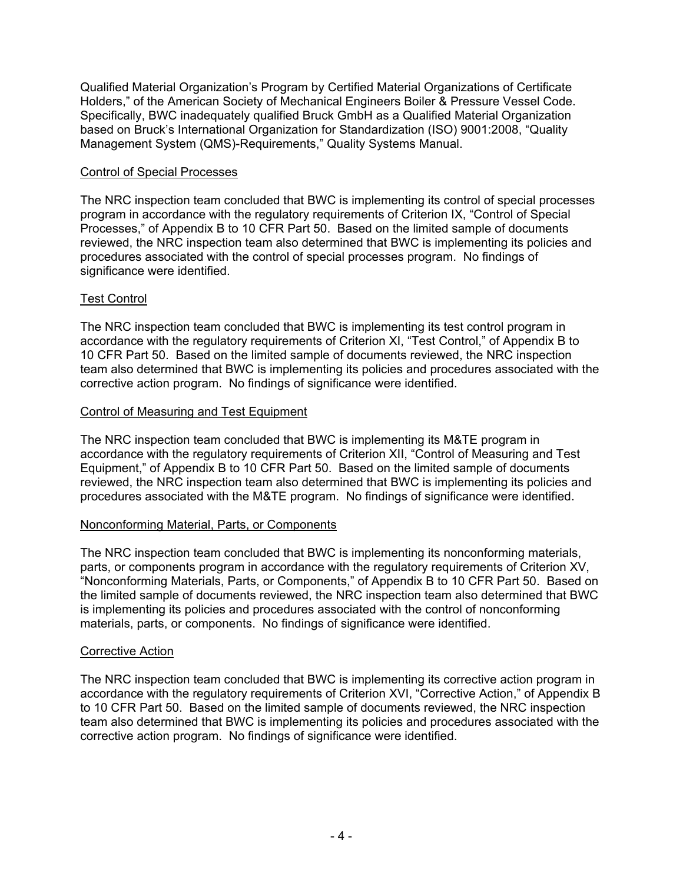Qualified Material Organization's Program by Certified Material Organizations of Certificate Holders," of the American Society of Mechanical Engineers Boiler & Pressure Vessel Code. Specifically, BWC inadequately qualified Bruck GmbH as a Qualified Material Organization based on Bruck's International Organization for Standardization (ISO) 9001:2008, "Quality Management System (QMS)-Requirements," Quality Systems Manual.

#### Control of Special Processes

The NRC inspection team concluded that BWC is implementing its control of special processes program in accordance with the regulatory requirements of Criterion IX, "Control of Special Processes," of Appendix B to 10 CFR Part 50. Based on the limited sample of documents reviewed, the NRC inspection team also determined that BWC is implementing its policies and procedures associated with the control of special processes program. No findings of significance were identified.

## Test Control

The NRC inspection team concluded that BWC is implementing its test control program in accordance with the regulatory requirements of Criterion XI, "Test Control," of Appendix B to 10 CFR Part 50. Based on the limited sample of documents reviewed, the NRC inspection team also determined that BWC is implementing its policies and procedures associated with the corrective action program. No findings of significance were identified.

#### Control of Measuring and Test Equipment

The NRC inspection team concluded that BWC is implementing its M&TE program in accordance with the regulatory requirements of Criterion XII, "Control of Measuring and Test Equipment," of Appendix B to 10 CFR Part 50. Based on the limited sample of documents reviewed, the NRC inspection team also determined that BWC is implementing its policies and procedures associated with the M&TE program. No findings of significance were identified.

## Nonconforming Material, Parts, or Components

The NRC inspection team concluded that BWC is implementing its nonconforming materials, parts, or components program in accordance with the regulatory requirements of Criterion XV, "Nonconforming Materials, Parts, or Components," of Appendix B to 10 CFR Part 50. Based on the limited sample of documents reviewed, the NRC inspection team also determined that BWC is implementing its policies and procedures associated with the control of nonconforming materials, parts, or components. No findings of significance were identified.

#### Corrective Action

The NRC inspection team concluded that BWC is implementing its corrective action program in accordance with the regulatory requirements of Criterion XVI, "Corrective Action," of Appendix B to 10 CFR Part 50. Based on the limited sample of documents reviewed, the NRC inspection team also determined that BWC is implementing its policies and procedures associated with the corrective action program. No findings of significance were identified.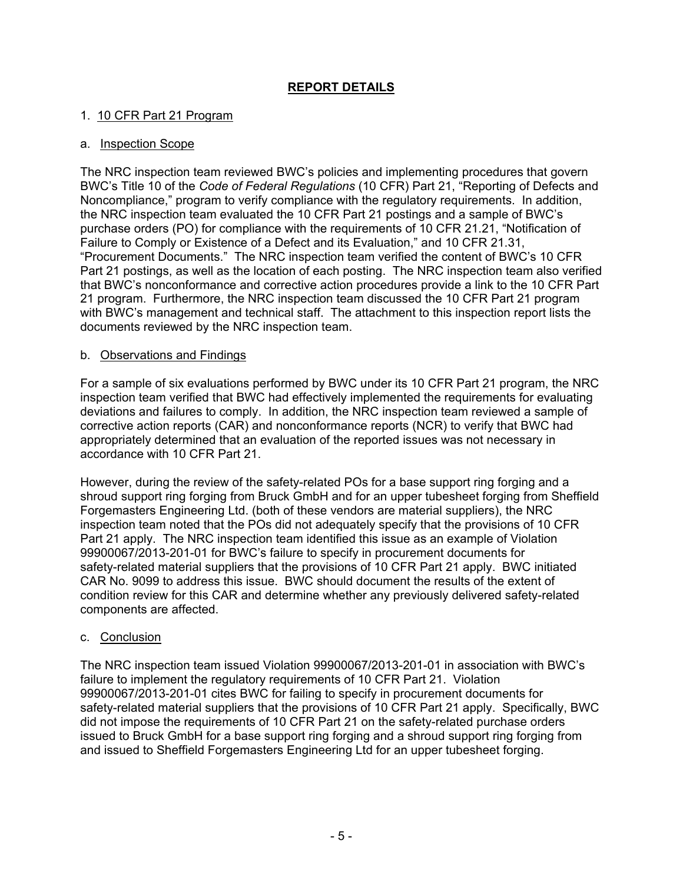## **REPORT DETAILS**

## 1. 10 CFR Part 21 Program

## a. Inspection Scope

The NRC inspection team reviewed BWC's policies and implementing procedures that govern BWC's Title 10 of the *Code of Federal Regulations* (10 CFR) Part 21, "Reporting of Defects and Noncompliance," program to verify compliance with the regulatory requirements. In addition, the NRC inspection team evaluated the 10 CFR Part 21 postings and a sample of BWC's purchase orders (PO) for compliance with the requirements of 10 CFR 21.21, "Notification of Failure to Comply or Existence of a Defect and its Evaluation," and 10 CFR 21.31, "Procurement Documents." The NRC inspection team verified the content of BWC's 10 CFR Part 21 postings, as well as the location of each posting. The NRC inspection team also verified that BWC's nonconformance and corrective action procedures provide a link to the 10 CFR Part 21 program. Furthermore, the NRC inspection team discussed the 10 CFR Part 21 program with BWC's management and technical staff. The attachment to this inspection report lists the documents reviewed by the NRC inspection team.

#### b. Observations and Findings

For a sample of six evaluations performed by BWC under its 10 CFR Part 21 program, the NRC inspection team verified that BWC had effectively implemented the requirements for evaluating deviations and failures to comply. In addition, the NRC inspection team reviewed a sample of corrective action reports (CAR) and nonconformance reports (NCR) to verify that BWC had appropriately determined that an evaluation of the reported issues was not necessary in accordance with 10 CFR Part 21.

However, during the review of the safety-related POs for a base support ring forging and a shroud support ring forging from Bruck GmbH and for an upper tubesheet forging from Sheffield Forgemasters Engineering Ltd. (both of these vendors are material suppliers), the NRC inspection team noted that the POs did not adequately specify that the provisions of 10 CFR Part 21 apply. The NRC inspection team identified this issue as an example of Violation 99900067/2013-201-01 for BWC's failure to specify in procurement documents for safety-related material suppliers that the provisions of 10 CFR Part 21 apply. BWC initiated CAR No. 9099 to address this issue. BWC should document the results of the extent of condition review for this CAR and determine whether any previously delivered safety-related components are affected.

## c. Conclusion

The NRC inspection team issued Violation 99900067/2013-201-01 in association with BWC's failure to implement the regulatory requirements of 10 CFR Part 21. Violation 99900067/2013-201-01 cites BWC for failing to specify in procurement documents for safety-related material suppliers that the provisions of 10 CFR Part 21 apply. Specifically, BWC did not impose the requirements of 10 CFR Part 21 on the safety-related purchase orders issued to Bruck GmbH for a base support ring forging and a shroud support ring forging from and issued to Sheffield Forgemasters Engineering Ltd for an upper tubesheet forging.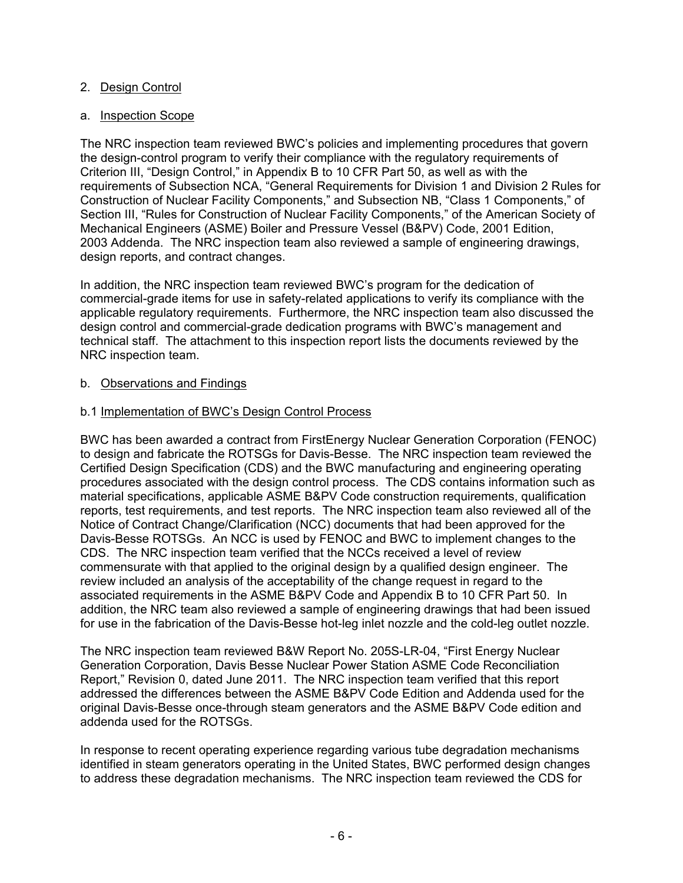## 2. Design Control

## a. Inspection Scope

The NRC inspection team reviewed BWC's policies and implementing procedures that govern the design-control program to verify their compliance with the regulatory requirements of Criterion III, "Design Control," in Appendix B to 10 CFR Part 50, as well as with the requirements of Subsection NCA, "General Requirements for Division 1 and Division 2 Rules for Construction of Nuclear Facility Components," and Subsection NB, "Class 1 Components," of Section III, "Rules for Construction of Nuclear Facility Components," of the American Society of Mechanical Engineers (ASME) Boiler and Pressure Vessel (B&PV) Code, 2001 Edition, 2003 Addenda. The NRC inspection team also reviewed a sample of engineering drawings, design reports, and contract changes.

In addition, the NRC inspection team reviewed BWC's program for the dedication of commercial-grade items for use in safety-related applications to verify its compliance with the applicable regulatory requirements. Furthermore, the NRC inspection team also discussed the design control and commercial-grade dedication programs with BWC's management and technical staff. The attachment to this inspection report lists the documents reviewed by the NRC inspection team.

## b. Observations and Findings

## b.1 Implementation of BWC's Design Control Process

BWC has been awarded a contract from FirstEnergy Nuclear Generation Corporation (FENOC) to design and fabricate the ROTSGs for Davis-Besse. The NRC inspection team reviewed the Certified Design Specification (CDS) and the BWC manufacturing and engineering operating procedures associated with the design control process. The CDS contains information such as material specifications, applicable ASME B&PV Code construction requirements, qualification reports, test requirements, and test reports. The NRC inspection team also reviewed all of the Notice of Contract Change/Clarification (NCC) documents that had been approved for the Davis-Besse ROTSGs. An NCC is used by FENOC and BWC to implement changes to the CDS. The NRC inspection team verified that the NCCs received a level of review commensurate with that applied to the original design by a qualified design engineer. The review included an analysis of the acceptability of the change request in regard to the associated requirements in the ASME B&PV Code and Appendix B to 10 CFR Part 50. In addition, the NRC team also reviewed a sample of engineering drawings that had been issued for use in the fabrication of the Davis-Besse hot-leg inlet nozzle and the cold-leg outlet nozzle.

The NRC inspection team reviewed B&W Report No. 205S-LR-04, "First Energy Nuclear Generation Corporation, Davis Besse Nuclear Power Station ASME Code Reconciliation Report," Revision 0, dated June 2011. The NRC inspection team verified that this report addressed the differences between the ASME B&PV Code Edition and Addenda used for the original Davis-Besse once-through steam generators and the ASME B&PV Code edition and addenda used for the ROTSGs.

In response to recent operating experience regarding various tube degradation mechanisms identified in steam generators operating in the United States, BWC performed design changes to address these degradation mechanisms. The NRC inspection team reviewed the CDS for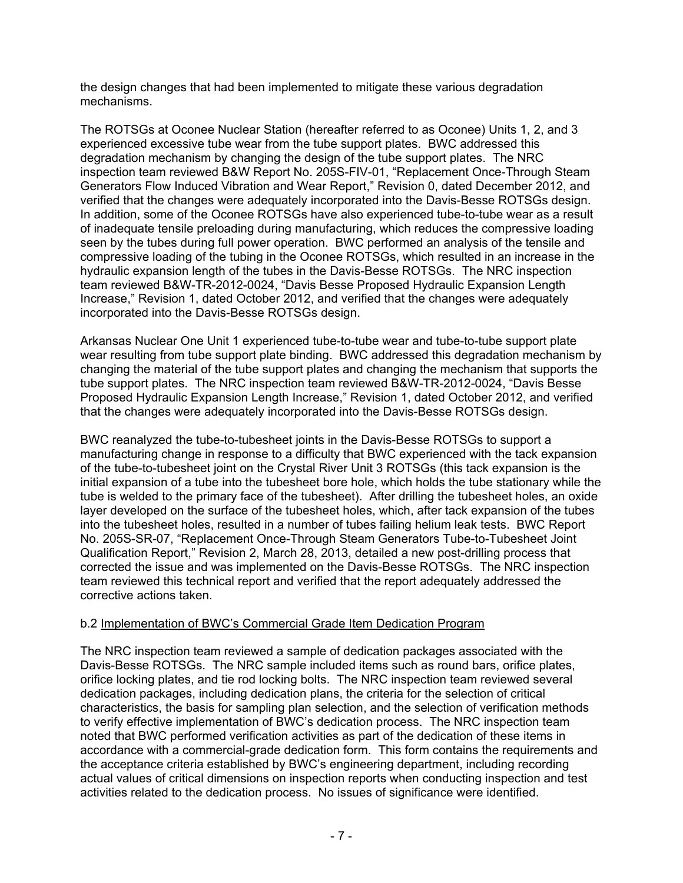the design changes that had been implemented to mitigate these various degradation mechanisms.

The ROTSGs at Oconee Nuclear Station (hereafter referred to as Oconee) Units 1, 2, and 3 experienced excessive tube wear from the tube support plates. BWC addressed this degradation mechanism by changing the design of the tube support plates. The NRC inspection team reviewed B&W Report No. 205S-FIV-01, "Replacement Once-Through Steam Generators Flow Induced Vibration and Wear Report," Revision 0, dated December 2012, and verified that the changes were adequately incorporated into the Davis-Besse ROTSGs design. In addition, some of the Oconee ROTSGs have also experienced tube-to-tube wear as a result of inadequate tensile preloading during manufacturing, which reduces the compressive loading seen by the tubes during full power operation. BWC performed an analysis of the tensile and compressive loading of the tubing in the Oconee ROTSGs, which resulted in an increase in the hydraulic expansion length of the tubes in the Davis-Besse ROTSGs. The NRC inspection team reviewed B&W-TR-2012-0024, "Davis Besse Proposed Hydraulic Expansion Length Increase," Revision 1, dated October 2012, and verified that the changes were adequately incorporated into the Davis-Besse ROTSGs design.

Arkansas Nuclear One Unit 1 experienced tube-to-tube wear and tube-to-tube support plate wear resulting from tube support plate binding. BWC addressed this degradation mechanism by changing the material of the tube support plates and changing the mechanism that supports the tube support plates. The NRC inspection team reviewed B&W-TR-2012-0024, "Davis Besse Proposed Hydraulic Expansion Length Increase," Revision 1, dated October 2012, and verified that the changes were adequately incorporated into the Davis-Besse ROTSGs design.

BWC reanalyzed the tube-to-tubesheet joints in the Davis-Besse ROTSGs to support a manufacturing change in response to a difficulty that BWC experienced with the tack expansion of the tube-to-tubesheet joint on the Crystal River Unit 3 ROTSGs (this tack expansion is the initial expansion of a tube into the tubesheet bore hole, which holds the tube stationary while the tube is welded to the primary face of the tubesheet). After drilling the tubesheet holes, an oxide layer developed on the surface of the tubesheet holes, which, after tack expansion of the tubes into the tubesheet holes, resulted in a number of tubes failing helium leak tests. BWC Report No. 205S-SR-07, "Replacement Once-Through Steam Generators Tube-to-Tubesheet Joint Qualification Report," Revision 2, March 28, 2013, detailed a new post-drilling process that corrected the issue and was implemented on the Davis-Besse ROTSGs. The NRC inspection team reviewed this technical report and verified that the report adequately addressed the corrective actions taken.

## b.2 Implementation of BWC's Commercial Grade Item Dedication Program

The NRC inspection team reviewed a sample of dedication packages associated with the Davis-Besse ROTSGs. The NRC sample included items such as round bars, orifice plates, orifice locking plates, and tie rod locking bolts. The NRC inspection team reviewed several dedication packages, including dedication plans, the criteria for the selection of critical characteristics, the basis for sampling plan selection, and the selection of verification methods to verify effective implementation of BWC's dedication process. The NRC inspection team noted that BWC performed verification activities as part of the dedication of these items in accordance with a commercial-grade dedication form. This form contains the requirements and the acceptance criteria established by BWC's engineering department, including recording actual values of critical dimensions on inspection reports when conducting inspection and test activities related to the dedication process. No issues of significance were identified.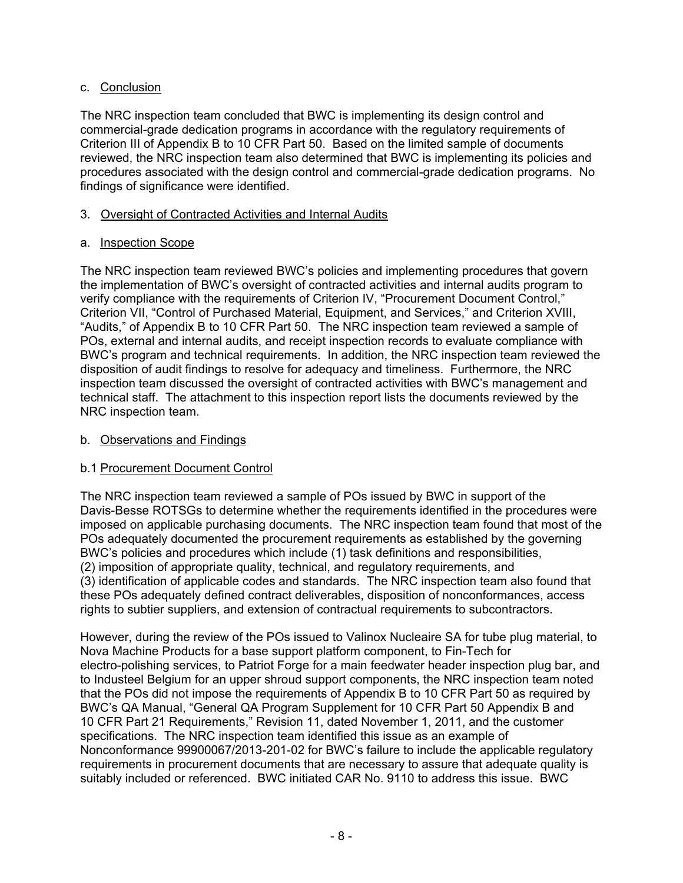## c. Conclusion

The NRC inspection team concluded that BWC is implementing its design control and commercial-grade dedication programs in accordance with the regulatory requirements of Criterion III of Appendix B to 10 CFR Part 50. Based on the limited sample of documents reviewed, the NRC inspection team also determined that BWC is implementing its policies and procedures associated with the design control and commercial-grade dedication programs. No findings of significance were identified.

## 3. Oversight of Contracted Activities and Internal Audits

## a. Inspection Scope

The NRC inspection team reviewed BWC's policies and implementing procedures that govern the implementation of BWC's oversight of contracted activities and internal audits program to verify compliance with the requirements of Criterion IV, "Procurement Document Control," Criterion VII, "Control of Purchased Material, Equipment, and Services," and Criterion XVIII, "Audits," of Appendix B to 10 CFR Part 50. The NRC inspection team reviewed a sample of POs, external and internal audits, and receipt inspection records to evaluate compliance with BWC's program and technical requirements. In addition, the NRC inspection team reviewed the disposition of audit findings to resolve for adequacy and timeliness. Furthermore, the NRC inspection team discussed the oversight of contracted activities with BWC's management and technical staff. The attachment to this inspection report lists the documents reviewed by the NRC inspection team.

## b. Observations and Findings

## b.1 Procurement Document Control

The NRC inspection team reviewed a sample of POs issued by BWC in support of the Davis-Besse ROTSGs to determine whether the requirements identified in the procedures were imposed on applicable purchasing documents. The NRC inspection team found that most of the POs adequately documented the procurement requirements as established by the governing BWC's policies and procedures which include (1) task definitions and responsibilities, (2) imposition of appropriate quality, technical, and regulatory requirements, and (3) identification of applicable codes and standards. The NRC inspection team also found that these POs adequately defined contract deliverables, disposition of nonconformances, access rights to subtier suppliers, and extension of contractual requirements to subcontractors.

However, during the review of the POs issued to Valinox Nucleaire SA for tube plug material, to Nova Machine Products for a base support platform component, to Fin-Tech for electro-polishing services, to Patriot Forge for a main feedwater header inspection plug bar, and to Industeel Belgium for an upper shroud support components, the NRC inspection team noted that the POs did not impose the requirements of Appendix B to 10 CFR Part 50 as required by BWC's QA Manual, "General QA Program Supplement for 10 CFR Part 50 Appendix B and 10 CFR Part 21 Requirements," Revision 11, dated November 1, 2011, and the customer specifications. The NRC inspection team identified this issue as an example of Nonconformance 99900067/2013-201-02 for BWC's failure to include the applicable regulatory requirements in procurement documents that are necessary to assure that adequate quality is suitably included or referenced. BWC initiated CAR No. 9110 to address this issue. BWC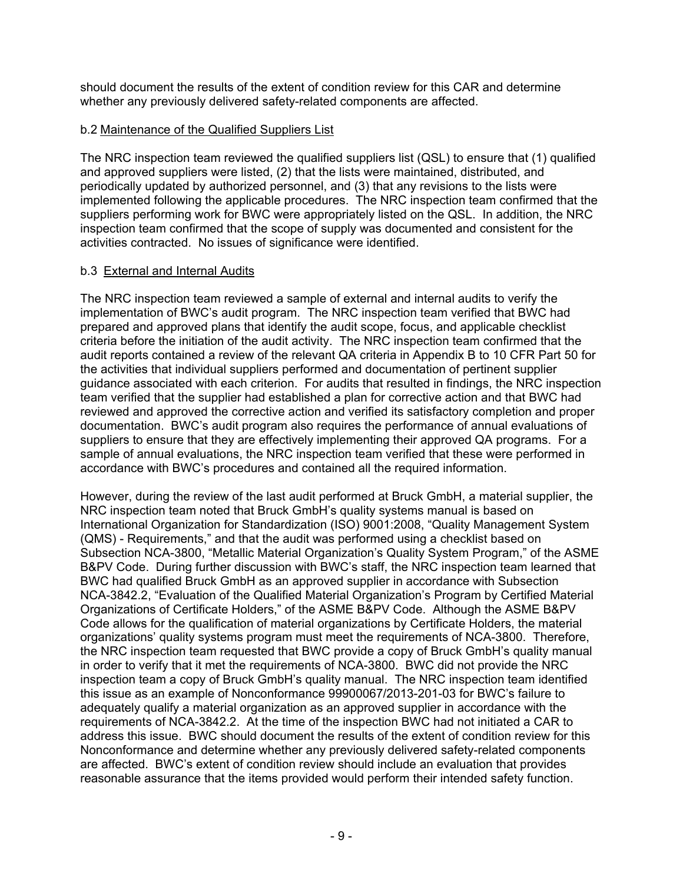should document the results of the extent of condition review for this CAR and determine whether any previously delivered safety-related components are affected.

## b.2 Maintenance of the Qualified Suppliers List

The NRC inspection team reviewed the qualified suppliers list (QSL) to ensure that (1) qualified and approved suppliers were listed, (2) that the lists were maintained, distributed, and periodically updated by authorized personnel, and (3) that any revisions to the lists were implemented following the applicable procedures. The NRC inspection team confirmed that the suppliers performing work for BWC were appropriately listed on the QSL. In addition, the NRC inspection team confirmed that the scope of supply was documented and consistent for the activities contracted. No issues of significance were identified.

## b.3 External and Internal Audits

The NRC inspection team reviewed a sample of external and internal audits to verify the implementation of BWC's audit program. The NRC inspection team verified that BWC had prepared and approved plans that identify the audit scope, focus, and applicable checklist criteria before the initiation of the audit activity. The NRC inspection team confirmed that the audit reports contained a review of the relevant QA criteria in Appendix B to 10 CFR Part 50 for the activities that individual suppliers performed and documentation of pertinent supplier guidance associated with each criterion. For audits that resulted in findings, the NRC inspection team verified that the supplier had established a plan for corrective action and that BWC had reviewed and approved the corrective action and verified its satisfactory completion and proper documentation. BWC's audit program also requires the performance of annual evaluations of suppliers to ensure that they are effectively implementing their approved QA programs. For a sample of annual evaluations, the NRC inspection team verified that these were performed in accordance with BWC's procedures and contained all the required information.

However, during the review of the last audit performed at Bruck GmbH, a material supplier, the NRC inspection team noted that Bruck GmbH's quality systems manual is based on International Organization for Standardization (ISO) 9001:2008, "Quality Management System (QMS) - Requirements," and that the audit was performed using a checklist based on Subsection NCA-3800, "Metallic Material Organization's Quality System Program," of the ASME B&PV Code. During further discussion with BWC's staff, the NRC inspection team learned that BWC had qualified Bruck GmbH as an approved supplier in accordance with Subsection NCA-3842.2, "Evaluation of the Qualified Material Organization's Program by Certified Material Organizations of Certificate Holders," of the ASME B&PV Code. Although the ASME B&PV Code allows for the qualification of material organizations by Certificate Holders, the material organizations' quality systems program must meet the requirements of NCA-3800. Therefore, the NRC inspection team requested that BWC provide a copy of Bruck GmbH's quality manual in order to verify that it met the requirements of NCA-3800. BWC did not provide the NRC inspection team a copy of Bruck GmbH's quality manual. The NRC inspection team identified this issue as an example of Nonconformance 99900067/2013-201-03 for BWC's failure to adequately qualify a material organization as an approved supplier in accordance with the requirements of NCA-3842.2. At the time of the inspection BWC had not initiated a CAR to address this issue. BWC should document the results of the extent of condition review for this Nonconformance and determine whether any previously delivered safety-related components are affected. BWC's extent of condition review should include an evaluation that provides reasonable assurance that the items provided would perform their intended safety function.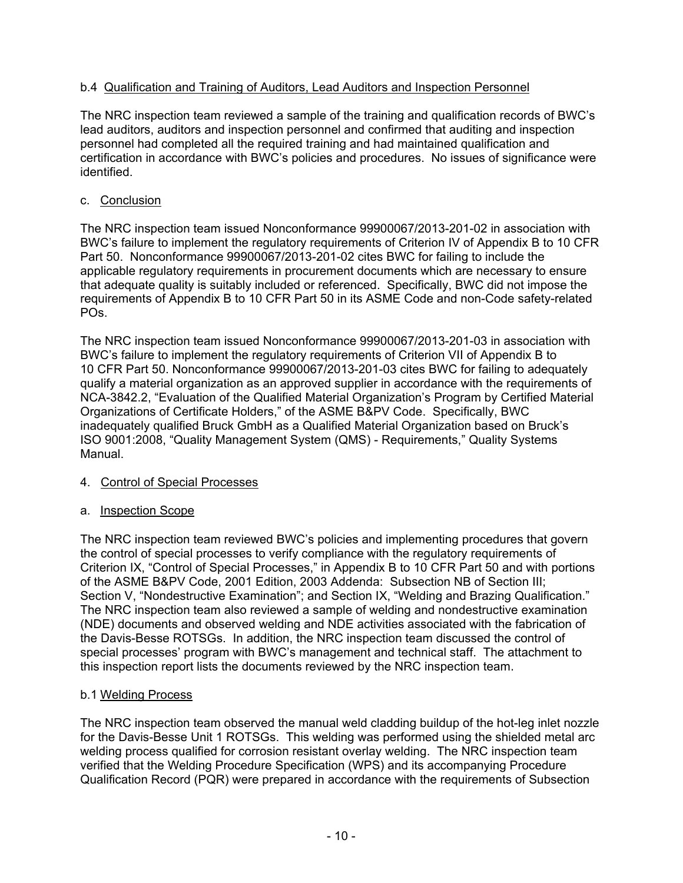## b.4 Qualification and Training of Auditors, Lead Auditors and Inspection Personnel

The NRC inspection team reviewed a sample of the training and qualification records of BWC's lead auditors, auditors and inspection personnel and confirmed that auditing and inspection personnel had completed all the required training and had maintained qualification and certification in accordance with BWC's policies and procedures. No issues of significance were identified.

## c. Conclusion

The NRC inspection team issued Nonconformance 99900067/2013-201-02 in association with BWC's failure to implement the regulatory requirements of Criterion IV of Appendix B to 10 CFR Part 50. Nonconformance 99900067/2013-201-02 cites BWC for failing to include the applicable regulatory requirements in procurement documents which are necessary to ensure that adequate quality is suitably included or referenced. Specifically, BWC did not impose the requirements of Appendix B to 10 CFR Part 50 in its ASME Code and non-Code safety-related POs.

The NRC inspection team issued Nonconformance 99900067/2013-201-03 in association with BWC's failure to implement the regulatory requirements of Criterion VII of Appendix B to 10 CFR Part 50. Nonconformance 99900067/2013-201-03 cites BWC for failing to adequately qualify a material organization as an approved supplier in accordance with the requirements of NCA-3842.2, "Evaluation of the Qualified Material Organization's Program by Certified Material Organizations of Certificate Holders," of the ASME B&PV Code. Specifically, BWC inadequately qualified Bruck GmbH as a Qualified Material Organization based on Bruck's ISO 9001:2008, "Quality Management System (QMS) - Requirements," Quality Systems Manual.

## 4. Control of Special Processes

## a. Inspection Scope

The NRC inspection team reviewed BWC's policies and implementing procedures that govern the control of special processes to verify compliance with the regulatory requirements of Criterion IX, "Control of Special Processes," in Appendix B to 10 CFR Part 50 and with portions of the ASME B&PV Code, 2001 Edition, 2003 Addenda: Subsection NB of Section III; Section V, "Nondestructive Examination"; and Section IX, "Welding and Brazing Qualification." The NRC inspection team also reviewed a sample of welding and nondestructive examination (NDE) documents and observed welding and NDE activities associated with the fabrication of the Davis-Besse ROTSGs. In addition, the NRC inspection team discussed the control of special processes' program with BWC's management and technical staff. The attachment to this inspection report lists the documents reviewed by the NRC inspection team.

## b.1 Welding Process

The NRC inspection team observed the manual weld cladding buildup of the hot-leg inlet nozzle for the Davis-Besse Unit 1 ROTSGs. This welding was performed using the shielded metal arc welding process qualified for corrosion resistant overlay welding. The NRC inspection team verified that the Welding Procedure Specification (WPS) and its accompanying Procedure Qualification Record (PQR) were prepared in accordance with the requirements of Subsection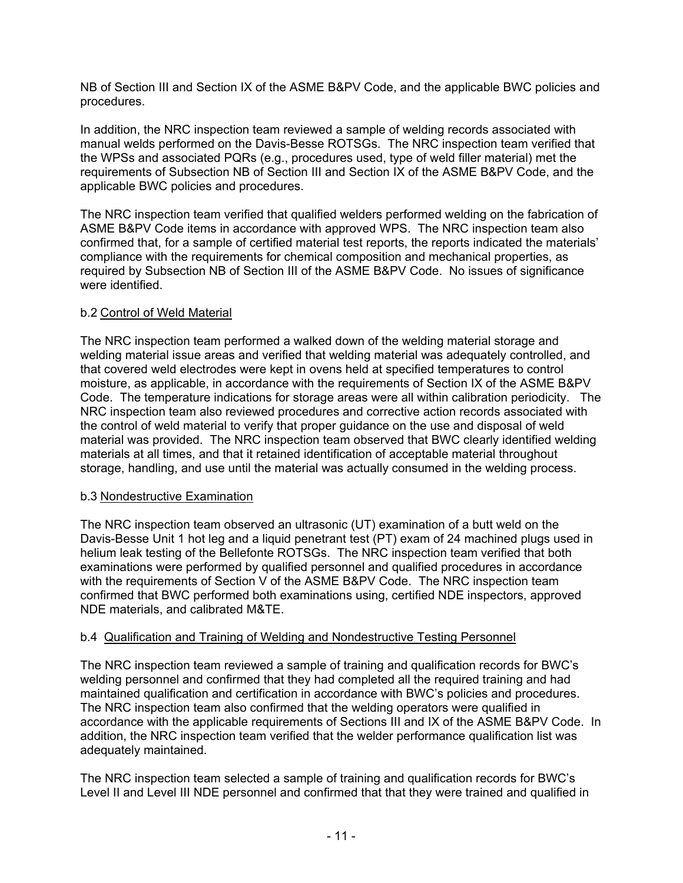NB of Section III and Section IX of the ASME B&PV Code, and the applicable BWC policies and procedures.

In addition, the NRC inspection team reviewed a sample of welding records associated with manual welds performed on the Davis-Besse ROTSGs. The NRC inspection team verified that the WPSs and associated PQRs (e.g., procedures used, type of weld filler material) met the requirements of Subsection NB of Section III and Section IX of the ASME B&PV Code, and the applicable BWC policies and procedures.

The NRC inspection team verified that qualified welders performed welding on the fabrication of ASME B&PV Code items in accordance with approved WPS. The NRC inspection team also confirmed that, for a sample of certified material test reports, the reports indicated the materials' compliance with the requirements for chemical composition and mechanical properties, as required by Subsection NB of Section III of the ASME B&PV Code. No issues of significance were identified.

## b.2 Control of Weld Material

The NRC inspection team performed a walked down of the welding material storage and welding material issue areas and verified that welding material was adequately controlled, and that covered weld electrodes were kept in ovens held at specified temperatures to control moisture, as applicable, in accordance with the requirements of Section IX of the ASME B&PV Code. The temperature indications for storage areas were all within calibration periodicity. The NRC inspection team also reviewed procedures and corrective action records associated with the control of weld material to verify that proper guidance on the use and disposal of weld material was provided. The NRC inspection team observed that BWC clearly identified welding materials at all times, and that it retained identification of acceptable material throughout storage, handling, and use until the material was actually consumed in the welding process.

## b.3 Nondestructive Examination

The NRC inspection team observed an ultrasonic (UT) examination of a butt weld on the Davis-Besse Unit 1 hot leg and a liquid penetrant test (PT) exam of 24 machined plugs used in helium leak testing of the Bellefonte ROTSGs. The NRC inspection team verified that both examinations were performed by qualified personnel and qualified procedures in accordance with the requirements of Section V of the ASME B&PV Code. The NRC inspection team confirmed that BWC performed both examinations using, certified NDE inspectors, approved NDE materials, and calibrated M&TE.

## b.4 Qualification and Training of Welding and Nondestructive Testing Personnel

The NRC inspection team reviewed a sample of training and qualification records for BWC's welding personnel and confirmed that they had completed all the required training and had maintained qualification and certification in accordance with BWC's policies and procedures. The NRC inspection team also confirmed that the welding operators were qualified in accordance with the applicable requirements of Sections III and IX of the ASME B&PV Code. In addition, the NRC inspection team verified that the welder performance qualification list was adequately maintained.

The NRC inspection team selected a sample of training and qualification records for BWC's Level II and Level III NDE personnel and confirmed that that they were trained and qualified in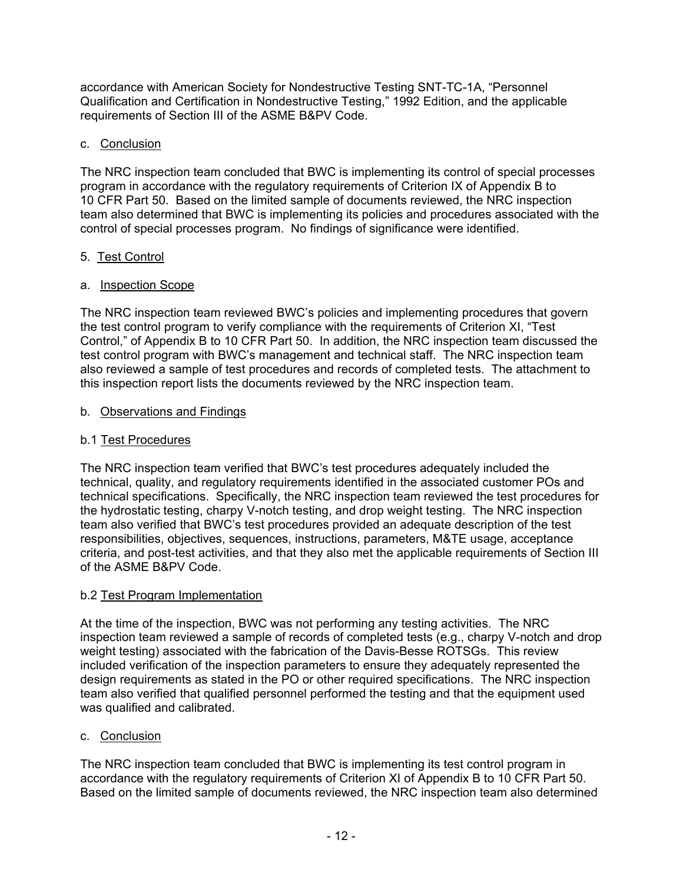accordance with American Society for Nondestructive Testing SNT-TC-1A, "Personnel Qualification and Certification in Nondestructive Testing," 1992 Edition, and the applicable requirements of Section III of the ASME B&PV Code.

## c. Conclusion

The NRC inspection team concluded that BWC is implementing its control of special processes program in accordance with the regulatory requirements of Criterion IX of Appendix B to 10 CFR Part 50. Based on the limited sample of documents reviewed, the NRC inspection team also determined that BWC is implementing its policies and procedures associated with the control of special processes program. No findings of significance were identified.

## 5. Test Control

## a. Inspection Scope

The NRC inspection team reviewed BWC's policies and implementing procedures that govern the test control program to verify compliance with the requirements of Criterion XI, "Test Control," of Appendix B to 10 CFR Part 50. In addition, the NRC inspection team discussed the test control program with BWC's management and technical staff. The NRC inspection team also reviewed a sample of test procedures and records of completed tests. The attachment to this inspection report lists the documents reviewed by the NRC inspection team.

## b. Observations and Findings

## b.1 Test Procedures

The NRC inspection team verified that BWC's test procedures adequately included the technical, quality, and regulatory requirements identified in the associated customer POs and technical specifications. Specifically, the NRC inspection team reviewed the test procedures for the hydrostatic testing, charpy V-notch testing, and drop weight testing. The NRC inspection team also verified that BWC's test procedures provided an adequate description of the test responsibilities, objectives, sequences, instructions, parameters, M&TE usage, acceptance criteria, and post-test activities, and that they also met the applicable requirements of Section III of the ASME B&PV Code.

## b.2 Test Program Implementation

At the time of the inspection, BWC was not performing any testing activities. The NRC inspection team reviewed a sample of records of completed tests (e.g., charpy V-notch and drop weight testing) associated with the fabrication of the Davis-Besse ROTSGs. This review included verification of the inspection parameters to ensure they adequately represented the design requirements as stated in the PO or other required specifications. The NRC inspection team also verified that qualified personnel performed the testing and that the equipment used was qualified and calibrated.

## c. Conclusion

The NRC inspection team concluded that BWC is implementing its test control program in accordance with the regulatory requirements of Criterion XI of Appendix B to 10 CFR Part 50. Based on the limited sample of documents reviewed, the NRC inspection team also determined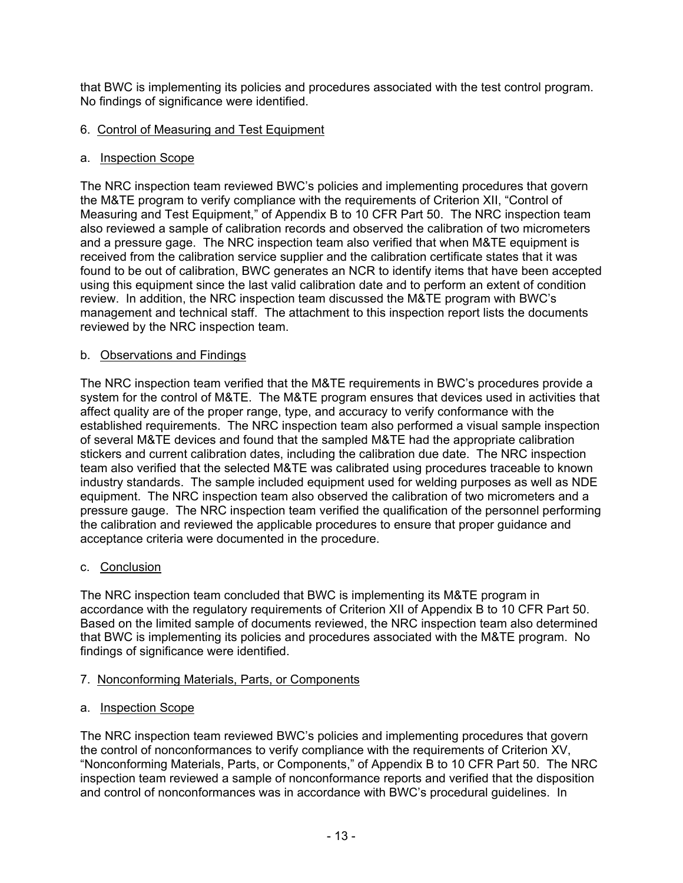that BWC is implementing its policies and procedures associated with the test control program. No findings of significance were identified.

## 6. Control of Measuring and Test Equipment

## a. Inspection Scope

The NRC inspection team reviewed BWC's policies and implementing procedures that govern the M&TE program to verify compliance with the requirements of Criterion XII, "Control of Measuring and Test Equipment," of Appendix B to 10 CFR Part 50. The NRC inspection team also reviewed a sample of calibration records and observed the calibration of two micrometers and a pressure gage. The NRC inspection team also verified that when M&TE equipment is received from the calibration service supplier and the calibration certificate states that it was found to be out of calibration, BWC generates an NCR to identify items that have been accepted using this equipment since the last valid calibration date and to perform an extent of condition review. In addition, the NRC inspection team discussed the M&TE program with BWC's management and technical staff. The attachment to this inspection report lists the documents reviewed by the NRC inspection team.

## b. Observations and Findings

The NRC inspection team verified that the M&TE requirements in BWC's procedures provide a system for the control of M&TE. The M&TE program ensures that devices used in activities that affect quality are of the proper range, type, and accuracy to verify conformance with the established requirements. The NRC inspection team also performed a visual sample inspection of several M&TE devices and found that the sampled M&TE had the appropriate calibration stickers and current calibration dates, including the calibration due date. The NRC inspection team also verified that the selected M&TE was calibrated using procedures traceable to known industry standards. The sample included equipment used for welding purposes as well as NDE equipment. The NRC inspection team also observed the calibration of two micrometers and a pressure gauge. The NRC inspection team verified the qualification of the personnel performing the calibration and reviewed the applicable procedures to ensure that proper guidance and acceptance criteria were documented in the procedure.

## c. Conclusion

The NRC inspection team concluded that BWC is implementing its M&TE program in accordance with the regulatory requirements of Criterion XII of Appendix B to 10 CFR Part 50. Based on the limited sample of documents reviewed, the NRC inspection team also determined that BWC is implementing its policies and procedures associated with the M&TE program. No findings of significance were identified.

## 7. Nonconforming Materials, Parts, or Components

## a. Inspection Scope

The NRC inspection team reviewed BWC's policies and implementing procedures that govern the control of nonconformances to verify compliance with the requirements of Criterion XV, "Nonconforming Materials, Parts, or Components," of Appendix B to 10 CFR Part 50. The NRC inspection team reviewed a sample of nonconformance reports and verified that the disposition and control of nonconformances was in accordance with BWC's procedural guidelines. In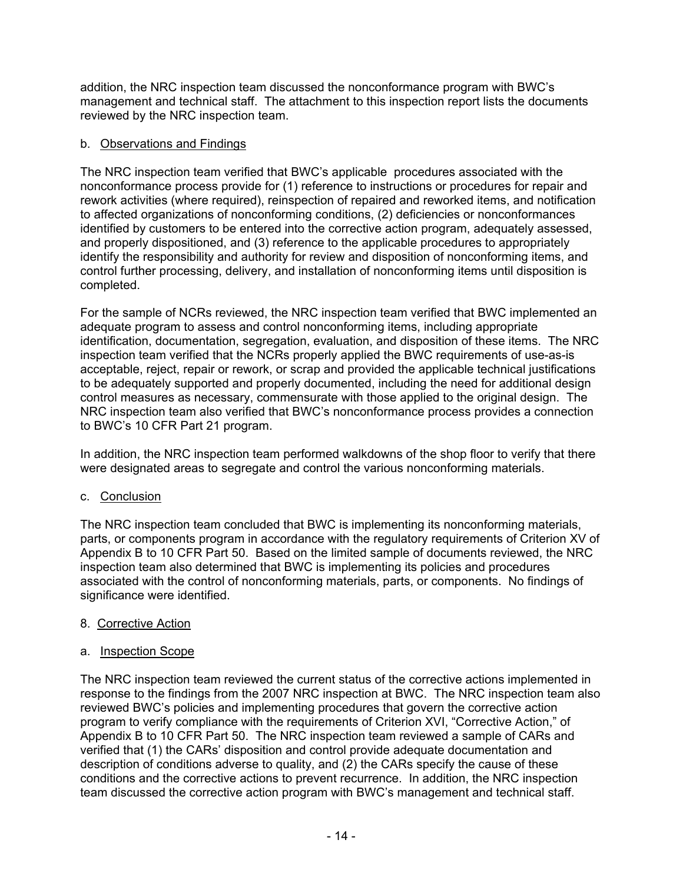addition, the NRC inspection team discussed the nonconformance program with BWC's management and technical staff. The attachment to this inspection report lists the documents reviewed by the NRC inspection team.

## b. Observations and Findings

The NRC inspection team verified that BWC's applicable procedures associated with the nonconformance process provide for (1) reference to instructions or procedures for repair and rework activities (where required), reinspection of repaired and reworked items, and notification to affected organizations of nonconforming conditions, (2) deficiencies or nonconformances identified by customers to be entered into the corrective action program, adequately assessed, and properly dispositioned, and (3) reference to the applicable procedures to appropriately identify the responsibility and authority for review and disposition of nonconforming items, and control further processing, delivery, and installation of nonconforming items until disposition is completed.

For the sample of NCRs reviewed, the NRC inspection team verified that BWC implemented an adequate program to assess and control nonconforming items, including appropriate identification, documentation, segregation, evaluation, and disposition of these items. The NRC inspection team verified that the NCRs properly applied the BWC requirements of use-as-is acceptable, reject, repair or rework, or scrap and provided the applicable technical justifications to be adequately supported and properly documented, including the need for additional design control measures as necessary, commensurate with those applied to the original design. The NRC inspection team also verified that BWC's nonconformance process provides a connection to BWC's 10 CFR Part 21 program.

In addition, the NRC inspection team performed walkdowns of the shop floor to verify that there were designated areas to segregate and control the various nonconforming materials.

## c. Conclusion

The NRC inspection team concluded that BWC is implementing its nonconforming materials, parts, or components program in accordance with the regulatory requirements of Criterion XV of Appendix B to 10 CFR Part 50. Based on the limited sample of documents reviewed, the NRC inspection team also determined that BWC is implementing its policies and procedures associated with the control of nonconforming materials, parts, or components. No findings of significance were identified.

## 8. Corrective Action

## a. Inspection Scope

The NRC inspection team reviewed the current status of the corrective actions implemented in response to the findings from the 2007 NRC inspection at BWC. The NRC inspection team also reviewed BWC's policies and implementing procedures that govern the corrective action program to verify compliance with the requirements of Criterion XVI, "Corrective Action," of Appendix B to 10 CFR Part 50. The NRC inspection team reviewed a sample of CARs and verified that (1) the CARs' disposition and control provide adequate documentation and description of conditions adverse to quality, and (2) the CARs specify the cause of these conditions and the corrective actions to prevent recurrence. In addition, the NRC inspection team discussed the corrective action program with BWC's management and technical staff.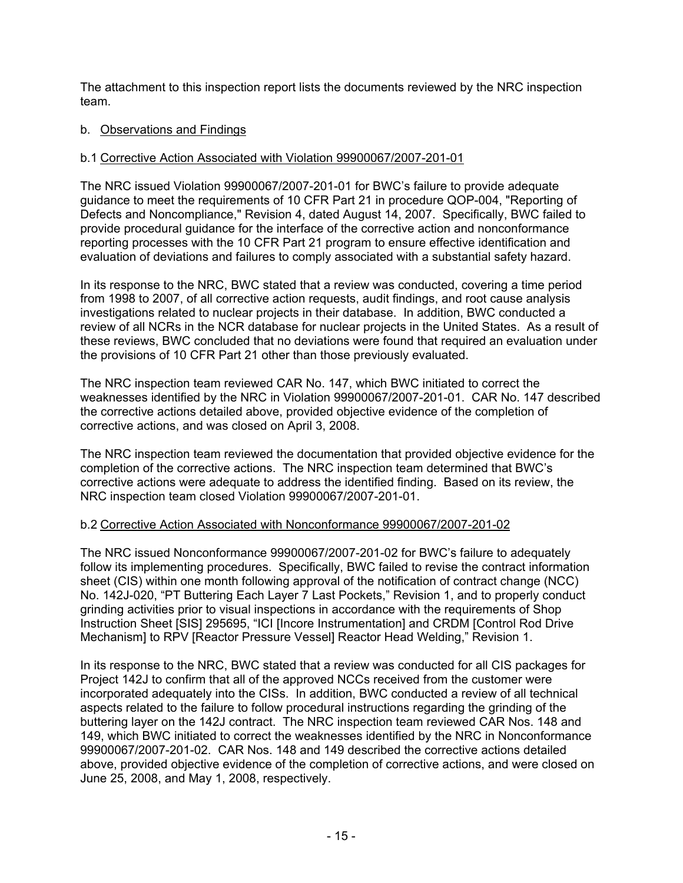The attachment to this inspection report lists the documents reviewed by the NRC inspection team.

## b. Observations and Findings

## b.1 Corrective Action Associated with Violation 99900067/2007-201-01

The NRC issued Violation 99900067/2007-201-01 for BWC's failure to provide adequate guidance to meet the requirements of 10 CFR Part 21 in procedure QOP-004, "Reporting of Defects and Noncompliance," Revision 4, dated August 14, 2007. Specifically, BWC failed to provide procedural guidance for the interface of the corrective action and nonconformance reporting processes with the 10 CFR Part 21 program to ensure effective identification and evaluation of deviations and failures to comply associated with a substantial safety hazard.

In its response to the NRC, BWC stated that a review was conducted, covering a time period from 1998 to 2007, of all corrective action requests, audit findings, and root cause analysis investigations related to nuclear projects in their database. In addition, BWC conducted a review of all NCRs in the NCR database for nuclear projects in the United States. As a result of these reviews, BWC concluded that no deviations were found that required an evaluation under the provisions of 10 CFR Part 21 other than those previously evaluated.

The NRC inspection team reviewed CAR No. 147, which BWC initiated to correct the weaknesses identified by the NRC in Violation 99900067/2007-201-01. CAR No. 147 described the corrective actions detailed above, provided objective evidence of the completion of corrective actions, and was closed on April 3, 2008.

The NRC inspection team reviewed the documentation that provided objective evidence for the completion of the corrective actions. The NRC inspection team determined that BWC's corrective actions were adequate to address the identified finding. Based on its review, the NRC inspection team closed Violation 99900067/2007-201-01.

## b.2 Corrective Action Associated with Nonconformance 99900067/2007-201-02

The NRC issued Nonconformance 99900067/2007-201-02 for BWC's failure to adequately follow its implementing procedures. Specifically, BWC failed to revise the contract information sheet (CIS) within one month following approval of the notification of contract change (NCC) No. 142J-020, "PT Buttering Each Layer 7 Last Pockets," Revision 1, and to properly conduct grinding activities prior to visual inspections in accordance with the requirements of Shop Instruction Sheet [SIS] 295695, "ICI [Incore Instrumentation] and CRDM [Control Rod Drive Mechanism] to RPV [Reactor Pressure Vessel] Reactor Head Welding," Revision 1.

In its response to the NRC, BWC stated that a review was conducted for all CIS packages for Project 142J to confirm that all of the approved NCCs received from the customer were incorporated adequately into the CISs. In addition, BWC conducted a review of all technical aspects related to the failure to follow procedural instructions regarding the grinding of the buttering layer on the 142J contract. The NRC inspection team reviewed CAR Nos. 148 and 149, which BWC initiated to correct the weaknesses identified by the NRC in Nonconformance 99900067/2007-201-02. CAR Nos. 148 and 149 described the corrective actions detailed above, provided objective evidence of the completion of corrective actions, and were closed on June 25, 2008, and May 1, 2008, respectively.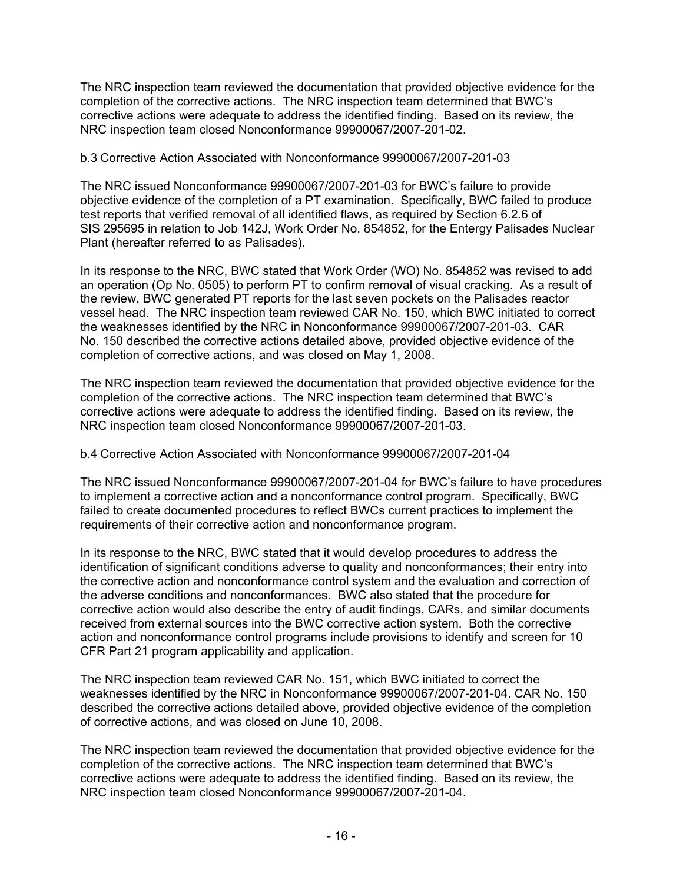The NRC inspection team reviewed the documentation that provided objective evidence for the completion of the corrective actions. The NRC inspection team determined that BWC's corrective actions were adequate to address the identified finding. Based on its review, the NRC inspection team closed Nonconformance 99900067/2007-201-02.

## b.3 Corrective Action Associated with Nonconformance 99900067/2007-201-03

The NRC issued Nonconformance 99900067/2007-201-03 for BWC's failure to provide objective evidence of the completion of a PT examination. Specifically, BWC failed to produce test reports that verified removal of all identified flaws, as required by Section 6.2.6 of SIS 295695 in relation to Job 142J, Work Order No. 854852, for the Entergy Palisades Nuclear Plant (hereafter referred to as Palisades).

In its response to the NRC, BWC stated that Work Order (WO) No. 854852 was revised to add an operation (Op No. 0505) to perform PT to confirm removal of visual cracking. As a result of the review, BWC generated PT reports for the last seven pockets on the Palisades reactor vessel head. The NRC inspection team reviewed CAR No. 150, which BWC initiated to correct the weaknesses identified by the NRC in Nonconformance 99900067/2007-201-03. CAR No. 150 described the corrective actions detailed above, provided objective evidence of the completion of corrective actions, and was closed on May 1, 2008.

The NRC inspection team reviewed the documentation that provided objective evidence for the completion of the corrective actions. The NRC inspection team determined that BWC's corrective actions were adequate to address the identified finding. Based on its review, the NRC inspection team closed Nonconformance 99900067/2007-201-03.

## b.4 Corrective Action Associated with Nonconformance 99900067/2007-201-04

The NRC issued Nonconformance 99900067/2007-201-04 for BWC's failure to have procedures to implement a corrective action and a nonconformance control program. Specifically, BWC failed to create documented procedures to reflect BWCs current practices to implement the requirements of their corrective action and nonconformance program.

In its response to the NRC, BWC stated that it would develop procedures to address the identification of significant conditions adverse to quality and nonconformances; their entry into the corrective action and nonconformance control system and the evaluation and correction of the adverse conditions and nonconformances. BWC also stated that the procedure for corrective action would also describe the entry of audit findings, CARs, and similar documents received from external sources into the BWC corrective action system. Both the corrective action and nonconformance control programs include provisions to identify and screen for 10 CFR Part 21 program applicability and application.

The NRC inspection team reviewed CAR No. 151, which BWC initiated to correct the weaknesses identified by the NRC in Nonconformance 99900067/2007-201-04. CAR No. 150 described the corrective actions detailed above, provided objective evidence of the completion of corrective actions, and was closed on June 10, 2008.

The NRC inspection team reviewed the documentation that provided objective evidence for the completion of the corrective actions. The NRC inspection team determined that BWC's corrective actions were adequate to address the identified finding. Based on its review, the NRC inspection team closed Nonconformance 99900067/2007-201-04.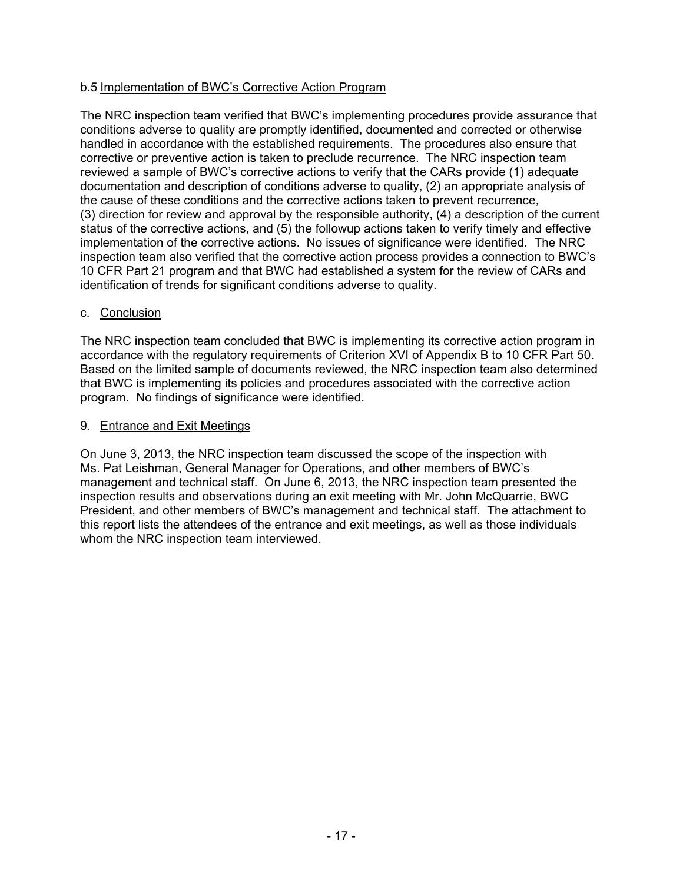## b.5 Implementation of BWC's Corrective Action Program

The NRC inspection team verified that BWC's implementing procedures provide assurance that conditions adverse to quality are promptly identified, documented and corrected or otherwise handled in accordance with the established requirements. The procedures also ensure that corrective or preventive action is taken to preclude recurrence. The NRC inspection team reviewed a sample of BWC's corrective actions to verify that the CARs provide (1) adequate documentation and description of conditions adverse to quality, (2) an appropriate analysis of the cause of these conditions and the corrective actions taken to prevent recurrence, (3) direction for review and approval by the responsible authority, (4) a description of the current status of the corrective actions, and (5) the followup actions taken to verify timely and effective implementation of the corrective actions. No issues of significance were identified. The NRC inspection team also verified that the corrective action process provides a connection to BWC's 10 CFR Part 21 program and that BWC had established a system for the review of CARs and identification of trends for significant conditions adverse to quality.

## c. Conclusion

The NRC inspection team concluded that BWC is implementing its corrective action program in accordance with the regulatory requirements of Criterion XVI of Appendix B to 10 CFR Part 50. Based on the limited sample of documents reviewed, the NRC inspection team also determined that BWC is implementing its policies and procedures associated with the corrective action program. No findings of significance were identified.

## 9. Entrance and Exit Meetings

On June 3, 2013, the NRC inspection team discussed the scope of the inspection with Ms. Pat Leishman, General Manager for Operations, and other members of BWC's management and technical staff. On June 6, 2013, the NRC inspection team presented the inspection results and observations during an exit meeting with Mr. John McQuarrie, BWC President, and other members of BWC's management and technical staff. The attachment to this report lists the attendees of the entrance and exit meetings, as well as those individuals whom the NRC inspection team interviewed.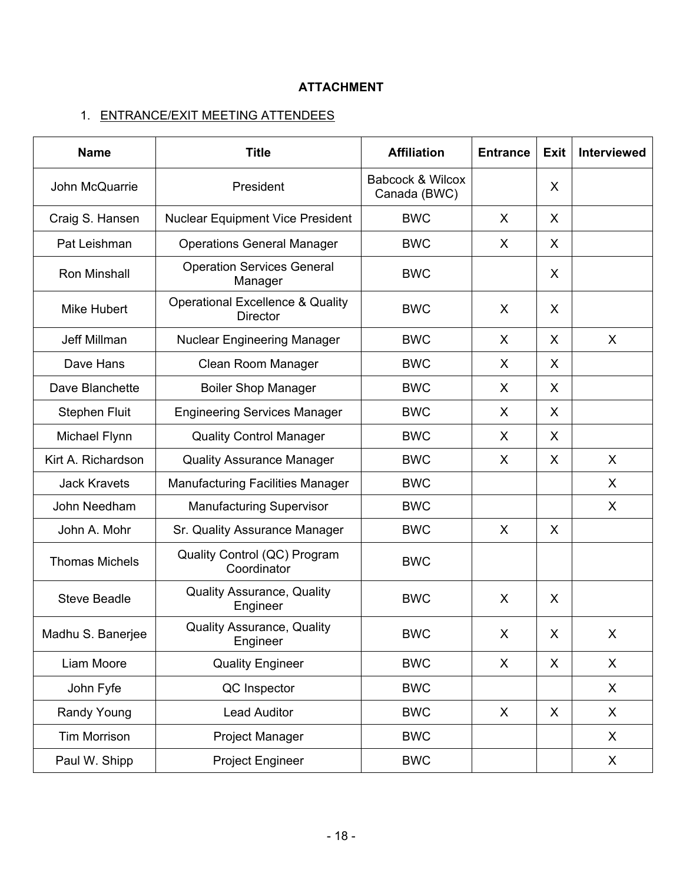# **ATTACHMENT**

# 1. ENTRANCE/EXIT MEETING ATTENDEES

| <b>Name</b>                           | <b>Title</b><br><b>Affiliation</b>                             |                                             | <b>Entrance</b> | <b>Exit</b>  | <b>Interviewed</b> |
|---------------------------------------|----------------------------------------------------------------|---------------------------------------------|-----------------|--------------|--------------------|
| John McQuarrie                        | President                                                      | <b>Babcock &amp; Wilcox</b><br>Canada (BWC) |                 | X            |                    |
| Craig S. Hansen                       | <b>Nuclear Equipment Vice President</b>                        | <b>BWC</b>                                  | X               | X            |                    |
| Pat Leishman                          | <b>Operations General Manager</b>                              | <b>BWC</b>                                  | X               | X            |                    |
| Ron Minshall                          | <b>Operation Services General</b><br>Manager                   | <b>BWC</b>                                  |                 | X            |                    |
| <b>Mike Hubert</b>                    | <b>Operational Excellence &amp; Quality</b><br><b>Director</b> | <b>BWC</b>                                  | X               | X            |                    |
| Jeff Millman                          | <b>Nuclear Engineering Manager</b>                             | <b>BWC</b>                                  | X               | X            | X                  |
| Dave Hans                             | Clean Room Manager                                             | <b>BWC</b>                                  | X               | X            |                    |
| Dave Blanchette                       | <b>Boiler Shop Manager</b>                                     | <b>BWC</b>                                  | X               | X            |                    |
| <b>Stephen Fluit</b>                  | <b>Engineering Services Manager</b>                            | <b>BWC</b>                                  | X               | X            |                    |
| Michael Flynn                         | <b>Quality Control Manager</b>                                 | <b>BWC</b>                                  | X               | X            |                    |
| Kirt A. Richardson                    | <b>Quality Assurance Manager</b>                               | <b>BWC</b>                                  | X               | X            | X                  |
| <b>Jack Kravets</b>                   | <b>Manufacturing Facilities Manager</b>                        | <b>BWC</b>                                  |                 |              | X                  |
| John Needham                          | <b>Manufacturing Supervisor</b>                                | <b>BWC</b>                                  |                 |              | X                  |
| John A. Mohr                          | Sr. Quality Assurance Manager                                  | <b>BWC</b>                                  | X               | X            |                    |
| <b>Thomas Michels</b>                 | Quality Control (QC) Program<br>Coordinator                    | <b>BWC</b>                                  |                 |              |                    |
| <b>Steve Beadle</b>                   | <b>Quality Assurance, Quality</b><br>Engineer                  | <b>BWC</b>                                  | X               | X            |                    |
| Madhu S. Banerjee                     | <b>Quality Assurance, Quality</b><br>Engineer                  | <b>BWC</b>                                  | X               | X            | X                  |
| Liam Moore<br><b>Quality Engineer</b> |                                                                | <b>BWC</b>                                  | X               | $\mathsf{X}$ | X                  |
| QC Inspector<br>John Fyfe             |                                                                | <b>BWC</b>                                  |                 |              | X                  |
| Randy Young<br><b>Lead Auditor</b>    |                                                                | <b>BWC</b>                                  | X               | X            | X                  |
| <b>Tim Morrison</b>                   | Project Manager                                                | <b>BWC</b>                                  |                 |              | X                  |
| Paul W. Shipp                         | Project Engineer                                               | <b>BWC</b>                                  |                 |              | X                  |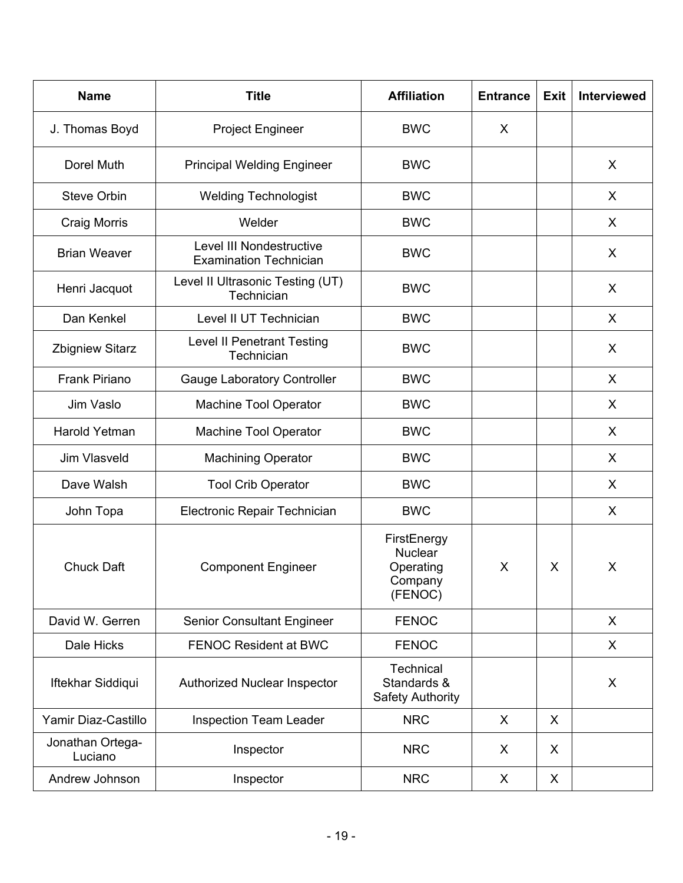| <b>Title</b><br><b>Name</b>                                                      |                                                 | <b>Affiliation</b>                                               | <b>Entrance</b> | <b>Exit</b> | Interviewed |
|----------------------------------------------------------------------------------|-------------------------------------------------|------------------------------------------------------------------|-----------------|-------------|-------------|
| J. Thomas Boyd<br><b>Project Engineer</b>                                        |                                                 | <b>BWC</b>                                                       | X               |             |             |
| Dorel Muth                                                                       | <b>Principal Welding Engineer</b>               | <b>BWC</b>                                                       |                 |             | X           |
| <b>Steve Orbin</b>                                                               | <b>Welding Technologist</b>                     | <b>BWC</b>                                                       |                 |             | X           |
| <b>Craig Morris</b>                                                              | Welder                                          | <b>BWC</b>                                                       |                 |             | X           |
| Level III Nondestructive<br><b>Brian Weaver</b><br><b>Examination Technician</b> |                                                 | <b>BWC</b>                                                       |                 |             | X           |
| Henri Jacquot                                                                    | Level II Ultrasonic Testing (UT)<br>Technician  | <b>BWC</b>                                                       |                 |             | X           |
| Dan Kenkel                                                                       | Level II UT Technician                          | <b>BWC</b>                                                       |                 |             | X           |
| <b>Zbigniew Sitarz</b>                                                           | <b>Level II Penetrant Testing</b><br>Technician | <b>BWC</b>                                                       |                 |             | X           |
| <b>Frank Piriano</b>                                                             | <b>Gauge Laboratory Controller</b>              | <b>BWC</b>                                                       |                 |             | X           |
| <b>Machine Tool Operator</b><br>Jim Vaslo                                        |                                                 | <b>BWC</b>                                                       |                 |             | X           |
| Harold Yetman<br><b>Machine Tool Operator</b>                                    |                                                 | <b>BWC</b>                                                       |                 |             | X           |
| Jim Vlasveld<br><b>Machining Operator</b>                                        |                                                 | <b>BWC</b>                                                       |                 |             | X           |
| Dave Walsh<br><b>Tool Crib Operator</b>                                          |                                                 | <b>BWC</b>                                                       |                 |             | X           |
| Electronic Repair Technician<br>John Topa                                        |                                                 | <b>BWC</b>                                                       |                 |             | X           |
| <b>Chuck Daft</b>                                                                | <b>Component Engineer</b>                       | FirstEnergy<br><b>Nuclear</b><br>Operating<br>Company<br>(FENOC) | X               | X           | X           |
| David W. Gerren                                                                  | <b>Senior Consultant Engineer</b>               | <b>FENOC</b>                                                     |                 |             | X           |
| Dale Hicks                                                                       | <b>FENOC Resident at BWC</b>                    | <b>FENOC</b>                                                     |                 |             | X           |
| Iftekhar Siddiqui                                                                | Authorized Nuclear Inspector                    | Technical<br>Standards &<br><b>Safety Authority</b>              |                 |             | X           |
| Yamir Diaz-Castillo<br><b>Inspection Team Leader</b>                             |                                                 | <b>NRC</b>                                                       | X               | X           |             |
| Jonathan Ortega-<br>Inspector<br>Luciano                                         |                                                 | <b>NRC</b>                                                       | X               | X           |             |
| Andrew Johnson<br>Inspector                                                      |                                                 | <b>NRC</b>                                                       | X               | X           |             |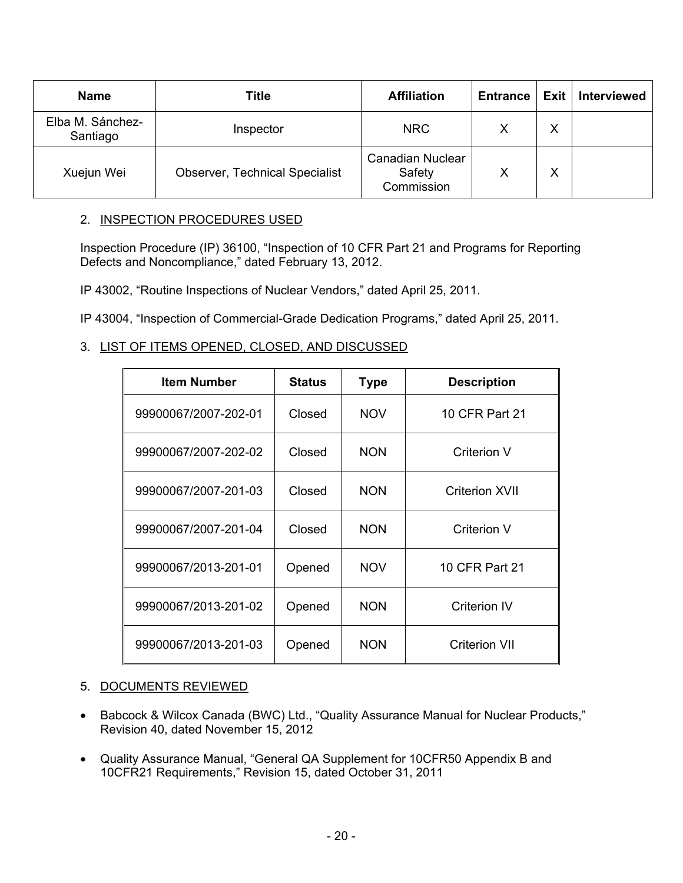| <b>Name</b>                                         | <b>Title</b> | <b>Affiliation</b>                              | <b>Entrance</b> | Exit   Interviewed |
|-----------------------------------------------------|--------------|-------------------------------------------------|-----------------|--------------------|
| Elba M. Sánchez-<br>Santiago                        | Inspector    | <b>NRC</b>                                      |                 |                    |
| <b>Observer, Technical Specialist</b><br>Xuejun Wei |              | <b>Canadian Nuclear</b><br>Safety<br>Commission |                 |                    |

## 2. INSPECTION PROCEDURES USED

Inspection Procedure (IP) 36100, "Inspection of 10 CFR Part 21 and Programs for Reporting Defects and Noncompliance," dated February 13, 2012.

IP 43002, "Routine Inspections of Nuclear Vendors," dated April 25, 2011.

IP 43004, "Inspection of Commercial-Grade Dedication Programs," dated April 25, 2011.

## 3. LIST OF ITEMS OPENED, CLOSED, AND DISCUSSED

| <b>Item Number</b>   | <b>Status</b> | Type       | <b>Description</b>    |
|----------------------|---------------|------------|-----------------------|
| 99900067/2007-202-01 | Closed        | <b>NOV</b> | 10 CFR Part 21        |
| 99900067/2007-202-02 | Closed        | <b>NON</b> | <b>Criterion V</b>    |
| 99900067/2007-201-03 | Closed        | <b>NON</b> | <b>Criterion XVII</b> |
| 99900067/2007-201-04 | Closed        | <b>NON</b> | <b>Criterion V</b>    |
| 99900067/2013-201-01 | Opened        | <b>NOV</b> | 10 CFR Part 21        |
| 99900067/2013-201-02 | Opened        | <b>NON</b> | <b>Criterion IV</b>   |
| 99900067/2013-201-03 | Opened        | <b>NON</b> | <b>Criterion VII</b>  |

## 5. DOCUMENTS REVIEWED

- Babcock & Wilcox Canada (BWC) Ltd., "Quality Assurance Manual for Nuclear Products," Revision 40, dated November 15, 2012
- Quality Assurance Manual, "General QA Supplement for 10CFR50 Appendix B and 10CFR21 Requirements," Revision 15, dated October 31, 2011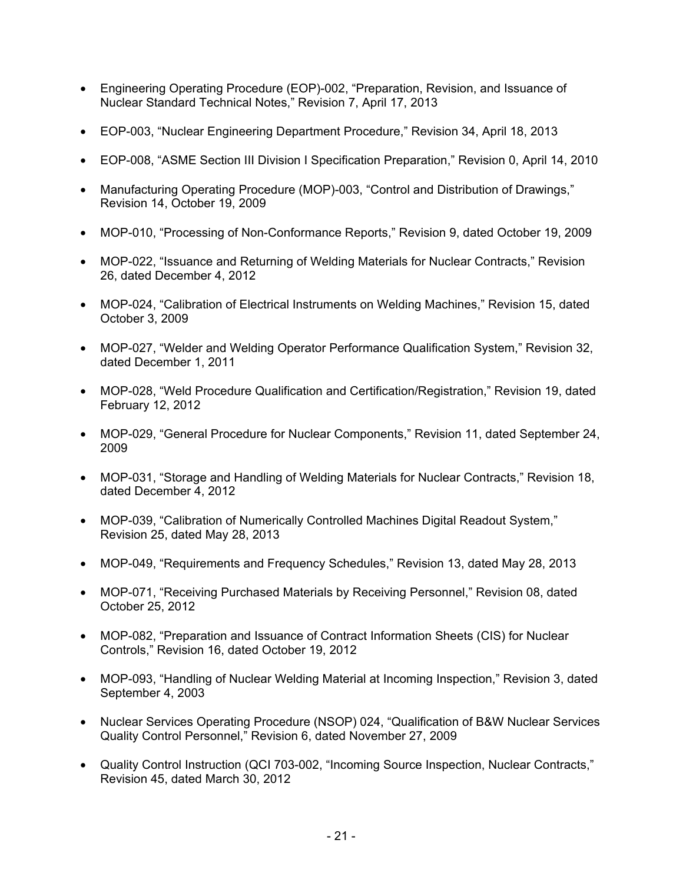- Engineering Operating Procedure (EOP)-002, "Preparation, Revision, and Issuance of Nuclear Standard Technical Notes," Revision 7, April 17, 2013
- EOP-003, "Nuclear Engineering Department Procedure," Revision 34, April 18, 2013
- EOP-008, "ASME Section III Division I Specification Preparation," Revision 0, April 14, 2010
- Manufacturing Operating Procedure (MOP)-003, "Control and Distribution of Drawings," Revision 14, October 19, 2009
- MOP-010, "Processing of Non-Conformance Reports," Revision 9, dated October 19, 2009
- MOP-022, "Issuance and Returning of Welding Materials for Nuclear Contracts," Revision 26, dated December 4, 2012
- MOP-024, "Calibration of Electrical Instruments on Welding Machines," Revision 15, dated October 3, 2009
- MOP-027, "Welder and Welding Operator Performance Qualification System," Revision 32, dated December 1, 2011
- MOP-028, "Weld Procedure Qualification and Certification/Registration," Revision 19, dated February 12, 2012
- MOP-029, "General Procedure for Nuclear Components," Revision 11, dated September 24, 2009
- MOP-031, "Storage and Handling of Welding Materials for Nuclear Contracts," Revision 18, dated December 4, 2012
- MOP-039, "Calibration of Numerically Controlled Machines Digital Readout System," Revision 25, dated May 28, 2013
- MOP-049, "Requirements and Frequency Schedules," Revision 13, dated May 28, 2013
- MOP-071, "Receiving Purchased Materials by Receiving Personnel," Revision 08, dated October 25, 2012
- MOP-082, "Preparation and Issuance of Contract Information Sheets (CIS) for Nuclear Controls," Revision 16, dated October 19, 2012
- MOP-093, "Handling of Nuclear Welding Material at Incoming Inspection," Revision 3, dated September 4, 2003
- Nuclear Services Operating Procedure (NSOP) 024, "Qualification of B&W Nuclear Services Quality Control Personnel," Revision 6, dated November 27, 2009
- Quality Control Instruction (QCI 703-002, "Incoming Source Inspection, Nuclear Contracts," Revision 45, dated March 30, 2012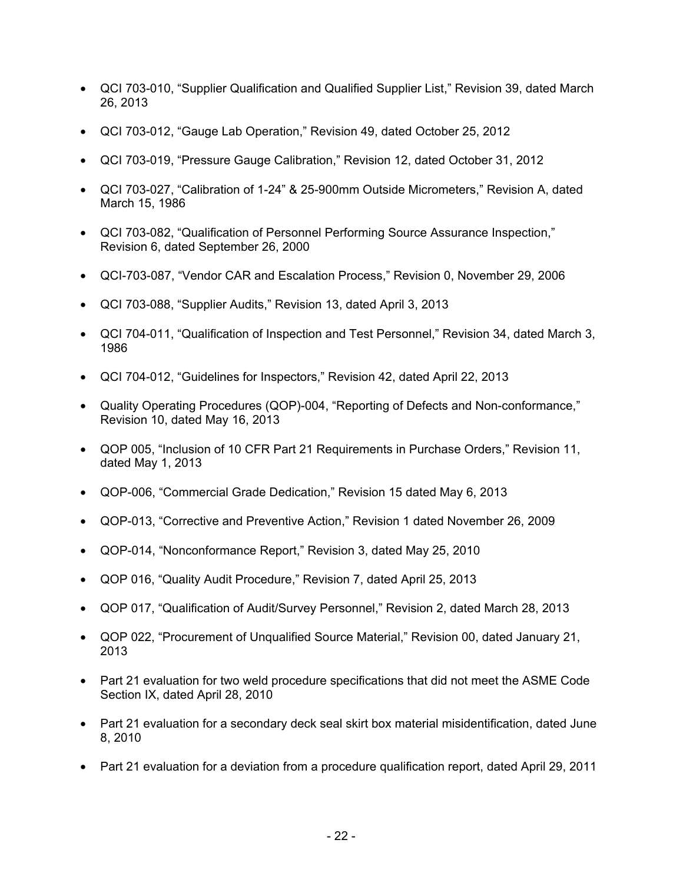- QCI 703-010, "Supplier Qualification and Qualified Supplier List," Revision 39, dated March 26, 2013
- QCI 703-012, "Gauge Lab Operation," Revision 49, dated October 25, 2012
- QCI 703-019, "Pressure Gauge Calibration," Revision 12, dated October 31, 2012
- QCI 703-027, "Calibration of 1-24" & 25-900mm Outside Micrometers," Revision A, dated March 15, 1986
- QCI 703-082, "Qualification of Personnel Performing Source Assurance Inspection," Revision 6, dated September 26, 2000
- QCI-703-087, "Vendor CAR and Escalation Process," Revision 0, November 29, 2006
- QCI 703-088, "Supplier Audits," Revision 13, dated April 3, 2013
- QCI 704-011, "Qualification of Inspection and Test Personnel," Revision 34, dated March 3, 1986
- QCI 704-012, "Guidelines for Inspectors," Revision 42, dated April 22, 2013
- Quality Operating Procedures (QOP)-004, "Reporting of Defects and Non-conformance," Revision 10, dated May 16, 2013
- QOP 005, "Inclusion of 10 CFR Part 21 Requirements in Purchase Orders," Revision 11, dated May 1, 2013
- QOP-006, "Commercial Grade Dedication," Revision 15 dated May 6, 2013
- QOP-013, "Corrective and Preventive Action," Revision 1 dated November 26, 2009
- QOP-014, "Nonconformance Report," Revision 3, dated May 25, 2010
- QOP 016, "Quality Audit Procedure," Revision 7, dated April 25, 2013
- QOP 017, "Qualification of Audit/Survey Personnel," Revision 2, dated March 28, 2013
- QOP 022, "Procurement of Unqualified Source Material," Revision 00, dated January 21, 2013
- Part 21 evaluation for two weld procedure specifications that did not meet the ASME Code Section IX, dated April 28, 2010
- Part 21 evaluation for a secondary deck seal skirt box material misidentification, dated June 8, 2010
- Part 21 evaluation for a deviation from a procedure qualification report, dated April 29, 2011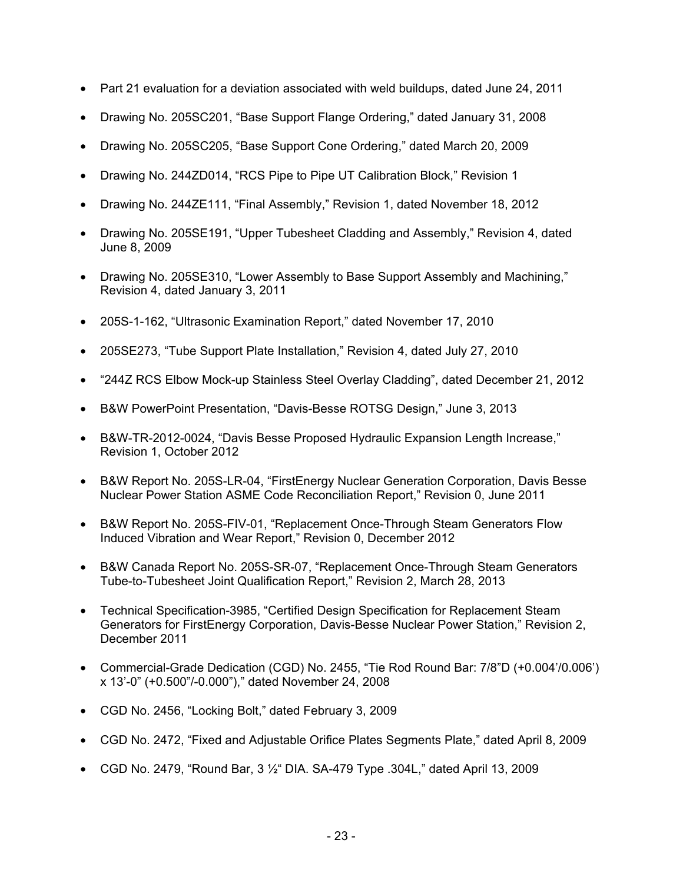- Part 21 evaluation for a deviation associated with weld buildups, dated June 24, 2011
- Drawing No. 205SC201, "Base Support Flange Ordering," dated January 31, 2008
- Drawing No. 205SC205, "Base Support Cone Ordering," dated March 20, 2009
- Drawing No. 244ZD014, "RCS Pipe to Pipe UT Calibration Block," Revision 1
- Drawing No. 244ZE111, "Final Assembly," Revision 1, dated November 18, 2012
- Drawing No. 205SE191, "Upper Tubesheet Cladding and Assembly," Revision 4, dated June 8, 2009
- Drawing No. 205SE310, "Lower Assembly to Base Support Assembly and Machining," Revision 4, dated January 3, 2011
- 205S-1-162, "Ultrasonic Examination Report," dated November 17, 2010
- 205SE273, "Tube Support Plate Installation," Revision 4, dated July 27, 2010
- "244Z RCS Elbow Mock-up Stainless Steel Overlay Cladding", dated December 21, 2012
- B&W PowerPoint Presentation, "Davis-Besse ROTSG Design," June 3, 2013
- B&W-TR-2012-0024, "Davis Besse Proposed Hydraulic Expansion Length Increase," Revision 1, October 2012
- B&W Report No. 205S-LR-04, "FirstEnergy Nuclear Generation Corporation, Davis Besse Nuclear Power Station ASME Code Reconciliation Report," Revision 0, June 2011
- B&W Report No. 205S-FIV-01, "Replacement Once-Through Steam Generators Flow Induced Vibration and Wear Report," Revision 0, December 2012
- B&W Canada Report No. 205S-SR-07, "Replacement Once-Through Steam Generators Tube-to-Tubesheet Joint Qualification Report," Revision 2, March 28, 2013
- Technical Specification-3985, "Certified Design Specification for Replacement Steam Generators for FirstEnergy Corporation, Davis-Besse Nuclear Power Station," Revision 2, December 2011
- Commercial-Grade Dedication (CGD) No. 2455, "Tie Rod Round Bar: 7/8"D (+0.004'/0.006') x 13'-0" (+0.500"/-0.000")," dated November 24, 2008
- CGD No. 2456, "Locking Bolt," dated February 3, 2009
- CGD No. 2472, "Fixed and Adjustable Orifice Plates Segments Plate," dated April 8, 2009
- CGD No. 2479, "Round Bar,  $3\frac{1}{2}$ " DIA. SA-479 Type .304L," dated April 13, 2009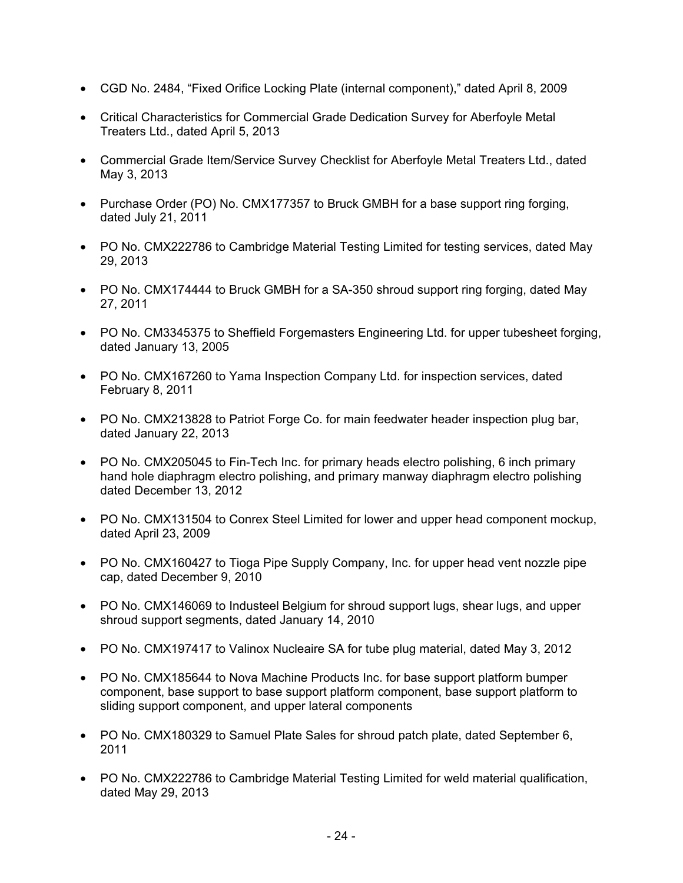- CGD No. 2484, "Fixed Orifice Locking Plate (internal component)," dated April 8, 2009
- Critical Characteristics for Commercial Grade Dedication Survey for Aberfoyle Metal Treaters Ltd., dated April 5, 2013
- Commercial Grade Item/Service Survey Checklist for Aberfoyle Metal Treaters Ltd., dated May 3, 2013
- Purchase Order (PO) No. CMX177357 to Bruck GMBH for a base support ring forging, dated July 21, 2011
- PO No. CMX222786 to Cambridge Material Testing Limited for testing services, dated May 29, 2013
- PO No. CMX174444 to Bruck GMBH for a SA-350 shroud support ring forging, dated May 27, 2011
- PO No. CM3345375 to Sheffield Forgemasters Engineering Ltd. for upper tubesheet forging, dated January 13, 2005
- PO No. CMX167260 to Yama Inspection Company Ltd. for inspection services, dated February 8, 2011
- PO No. CMX213828 to Patriot Forge Co. for main feedwater header inspection plug bar, dated January 22, 2013
- PO No. CMX205045 to Fin-Tech Inc. for primary heads electro polishing, 6 inch primary hand hole diaphragm electro polishing, and primary manway diaphragm electro polishing dated December 13, 2012
- PO No. CMX131504 to Conrex Steel Limited for lower and upper head component mockup, dated April 23, 2009
- PO No. CMX160427 to Tioga Pipe Supply Company, Inc. for upper head vent nozzle pipe cap, dated December 9, 2010
- PO No. CMX146069 to Industeel Belgium for shroud support lugs, shear lugs, and upper shroud support segments, dated January 14, 2010
- PO No. CMX197417 to Valinox Nucleaire SA for tube plug material, dated May 3, 2012
- PO No. CMX185644 to Nova Machine Products Inc. for base support platform bumper component, base support to base support platform component, base support platform to sliding support component, and upper lateral components
- PO No. CMX180329 to Samuel Plate Sales for shroud patch plate, dated September 6, 2011
- PO No. CMX222786 to Cambridge Material Testing Limited for weld material qualification, dated May 29, 2013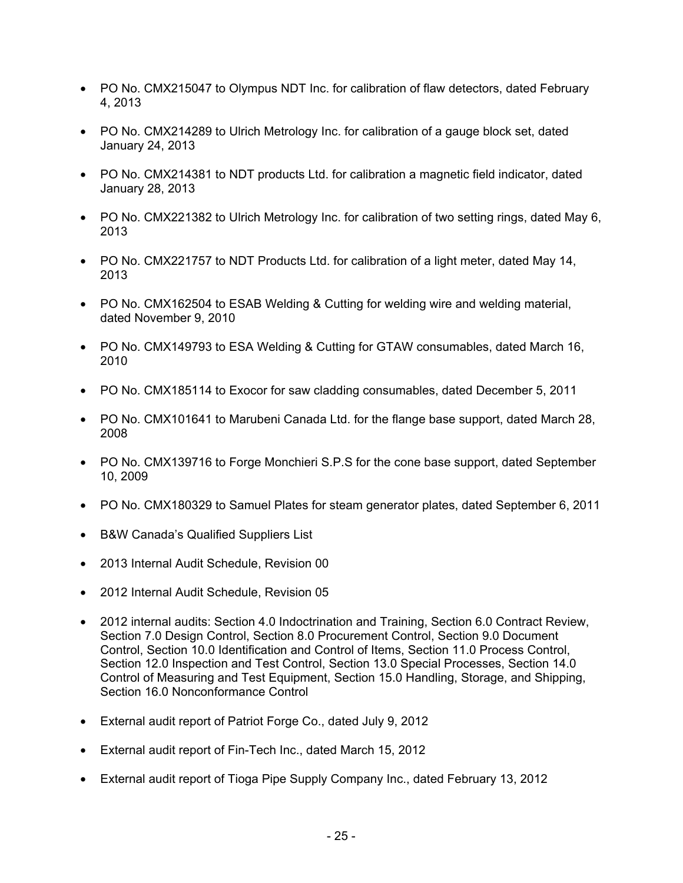- PO No. CMX215047 to Olympus NDT Inc. for calibration of flaw detectors, dated February 4, 2013
- PO No. CMX214289 to Ulrich Metrology Inc. for calibration of a gauge block set, dated January 24, 2013
- PO No. CMX214381 to NDT products Ltd. for calibration a magnetic field indicator, dated January 28, 2013
- PO No. CMX221382 to Ulrich Metrology Inc. for calibration of two setting rings, dated May 6, 2013
- PO No. CMX221757 to NDT Products Ltd. for calibration of a light meter, dated May 14, 2013
- PO No. CMX162504 to ESAB Welding & Cutting for welding wire and welding material, dated November 9, 2010
- PO No. CMX149793 to ESA Welding & Cutting for GTAW consumables, dated March 16, 2010
- PO No. CMX185114 to Exocor for saw cladding consumables, dated December 5, 2011
- PO No. CMX101641 to Marubeni Canada Ltd. for the flange base support, dated March 28, 2008
- PO No. CMX139716 to Forge Monchieri S.P.S for the cone base support, dated September 10, 2009
- PO No. CMX180329 to Samuel Plates for steam generator plates, dated September 6, 2011
- B&W Canada's Qualified Suppliers List
- 2013 Internal Audit Schedule, Revision 00
- 2012 Internal Audit Schedule, Revision 05
- 2012 internal audits: Section 4.0 Indoctrination and Training, Section 6.0 Contract Review, Section 7.0 Design Control, Section 8.0 Procurement Control, Section 9.0 Document Control, Section 10.0 Identification and Control of Items, Section 11.0 Process Control, Section 12.0 Inspection and Test Control, Section 13.0 Special Processes, Section 14.0 Control of Measuring and Test Equipment, Section 15.0 Handling, Storage, and Shipping, Section 16.0 Nonconformance Control
- External audit report of Patriot Forge Co., dated July 9, 2012
- External audit report of Fin-Tech Inc., dated March 15, 2012
- External audit report of Tioga Pipe Supply Company Inc., dated February 13, 2012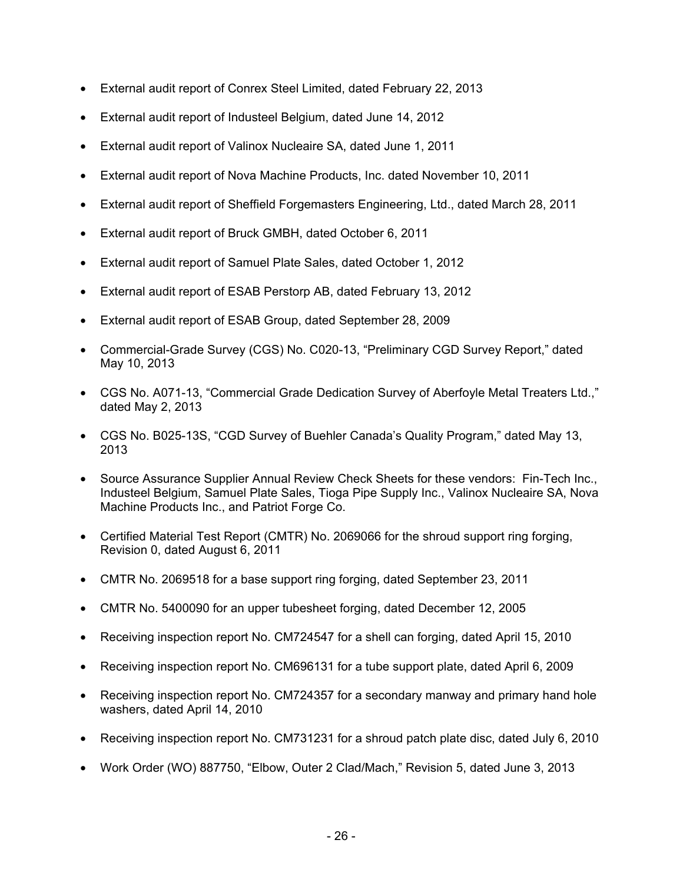- External audit report of Conrex Steel Limited, dated February 22, 2013
- External audit report of Industeel Belgium, dated June 14, 2012
- External audit report of Valinox Nucleaire SA, dated June 1, 2011
- External audit report of Nova Machine Products, Inc. dated November 10, 2011
- External audit report of Sheffield Forgemasters Engineering, Ltd., dated March 28, 2011
- External audit report of Bruck GMBH, dated October 6, 2011
- External audit report of Samuel Plate Sales, dated October 1, 2012
- External audit report of ESAB Perstorp AB, dated February 13, 2012
- External audit report of ESAB Group, dated September 28, 2009
- Commercial-Grade Survey (CGS) No. C020-13, "Preliminary CGD Survey Report," dated May 10, 2013
- CGS No. A071-13, "Commercial Grade Dedication Survey of Aberfoyle Metal Treaters Ltd.," dated May 2, 2013
- CGS No. B025-13S, "CGD Survey of Buehler Canada's Quality Program," dated May 13, 2013
- Source Assurance Supplier Annual Review Check Sheets for these vendors: Fin-Tech Inc., Industeel Belgium, Samuel Plate Sales, Tioga Pipe Supply Inc., Valinox Nucleaire SA, Nova Machine Products Inc., and Patriot Forge Co.
- Certified Material Test Report (CMTR) No. 2069066 for the shroud support ring forging, Revision 0, dated August 6, 2011
- CMTR No. 2069518 for a base support ring forging, dated September 23, 2011
- CMTR No. 5400090 for an upper tubesheet forging, dated December 12, 2005
- Receiving inspection report No. CM724547 for a shell can forging, dated April 15, 2010
- Receiving inspection report No. CM696131 for a tube support plate, dated April 6, 2009
- Receiving inspection report No. CM724357 for a secondary manway and primary hand hole washers, dated April 14, 2010
- Receiving inspection report No. CM731231 for a shroud patch plate disc, dated July 6, 2010
- Work Order (WO) 887750, "Elbow, Outer 2 Clad/Mach," Revision 5, dated June 3, 2013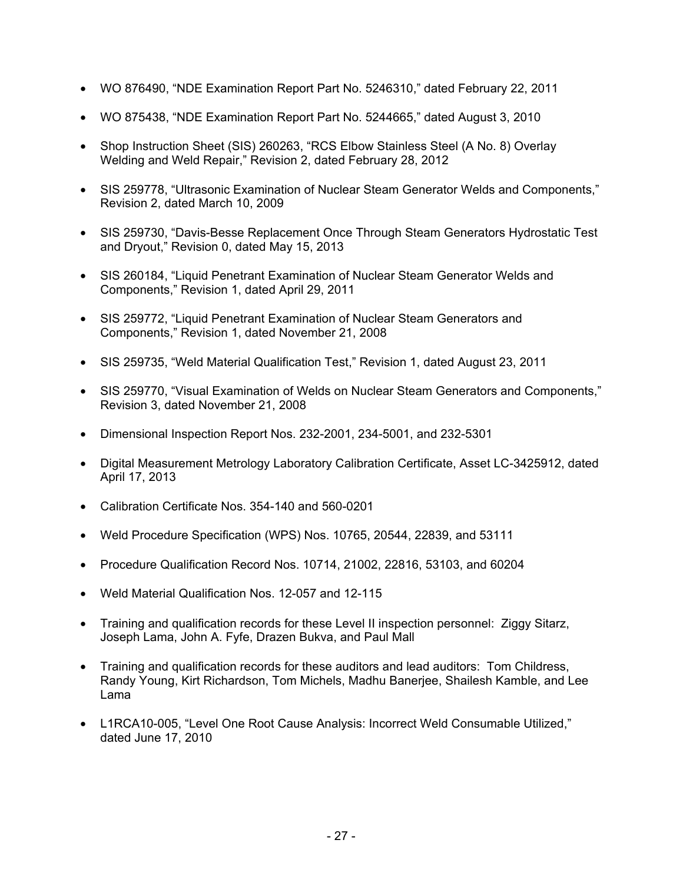- WO 876490, "NDE Examination Report Part No. 5246310," dated February 22, 2011
- WO 875438, "NDE Examination Report Part No. 5244665," dated August 3, 2010
- Shop Instruction Sheet (SIS) 260263, "RCS Elbow Stainless Steel (A No. 8) Overlay Welding and Weld Repair," Revision 2, dated February 28, 2012
- SIS 259778, "Ultrasonic Examination of Nuclear Steam Generator Welds and Components," Revision 2, dated March 10, 2009
- SIS 259730, "Davis-Besse Replacement Once Through Steam Generators Hydrostatic Test and Dryout," Revision 0, dated May 15, 2013
- SIS 260184, "Liquid Penetrant Examination of Nuclear Steam Generator Welds and Components," Revision 1, dated April 29, 2011
- SIS 259772, "Liquid Penetrant Examination of Nuclear Steam Generators and Components," Revision 1, dated November 21, 2008
- SIS 259735, "Weld Material Qualification Test," Revision 1, dated August 23, 2011
- SIS 259770, "Visual Examination of Welds on Nuclear Steam Generators and Components," Revision 3, dated November 21, 2008
- Dimensional Inspection Report Nos. 232-2001, 234-5001, and 232-5301
- Digital Measurement Metrology Laboratory Calibration Certificate, Asset LC-3425912, dated April 17, 2013
- Calibration Certificate Nos. 354-140 and 560-0201
- Weld Procedure Specification (WPS) Nos. 10765, 20544, 22839, and 53111
- Procedure Qualification Record Nos. 10714, 21002, 22816, 53103, and 60204
- Weld Material Qualification Nos. 12-057 and 12-115
- Training and qualification records for these Level II inspection personnel: Ziggy Sitarz, Joseph Lama, John A. Fyfe, Drazen Bukva, and Paul Mall
- Training and qualification records for these auditors and lead auditors: Tom Childress, Randy Young, Kirt Richardson, Tom Michels, Madhu Banerjee, Shailesh Kamble, and Lee Lama
- L1RCA10-005, "Level One Root Cause Analysis: Incorrect Weld Consumable Utilized," dated June 17, 2010